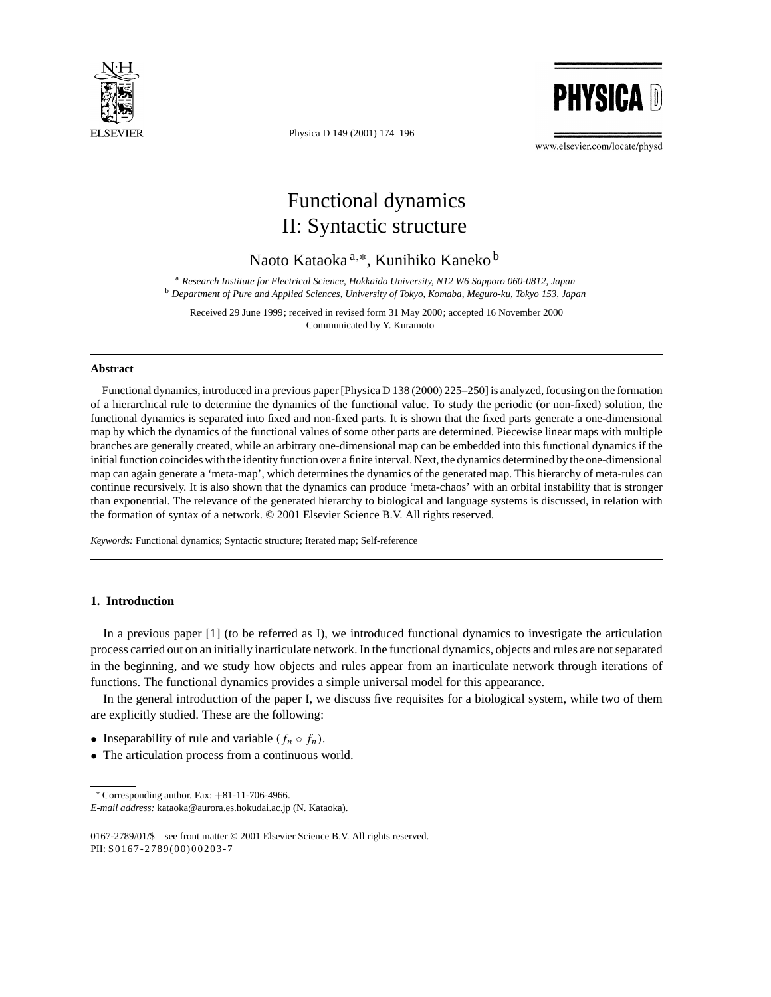

Physica D 149 (2001) 174–196



www.elsevier.com/locate/physd

# Functional dynamics II: Syntactic structure

Naoto Kataoka <sup>a</sup>,∗, Kunihiko Kaneko <sup>b</sup>

<sup>a</sup> *Research Institute for Electrical Science, Hokkaido University, N12 W6 Sapporo 060-0812, Japan* <sup>b</sup> *Department of Pure and Applied Sciences, University of Tokyo, Komaba, Meguro-ku, Tokyo 153, Japan*

Received 29 June 1999; received in revised form 31 May 2000; accepted 16 November 2000 Communicated by Y. Kuramoto

#### **Abstract**

Functional dynamics, introduced in a previous paper [Physica D 138 (2000) 225–250] is analyzed, focusing on the formation of a hierarchical rule to determine the dynamics of the functional value. To study the periodic (or non-fixed) solution, the functional dynamics is separated into fixed and non-fixed parts. It is shown that the fixed parts generate a one-dimensional map by which the dynamics of the functional values of some other parts are determined. Piecewise linear maps with multiple branches are generally created, while an arbitrary one-dimensional map can be embedded into this functional dynamics if the initial function coincides with the identity function over a finite interval. Next, the dynamics determined by the one-dimensional map can again generate a 'meta-map', which determines the dynamics of the generated map. This hierarchy of meta-rules can continue recursively. It is also shown that the dynamics can produce 'meta-chaos' with an orbital instability that is stronger than exponential. The relevance of the generated hierarchy to biological and language systems is discussed, in relation with the formation of syntax of a network. © 2001 Elsevier Science B.V. All rights reserved.

*Keywords:* Functional dynamics; Syntactic structure; Iterated map; Self-reference

# **1. Introduction**

In a previous paper [1] (to be referred as I), we introduced functional dynamics to investigate the articulation process carried out on an initially inarticulate network. In the functional dynamics, objects and rules are not separated in the beginning, and we study how objects and rules appear from an inarticulate network through iterations of functions. The functional dynamics provides a simple universal model for this appearance.

In the general introduction of the paper I, we discuss five requisites for a biological system, while two of them are explicitly studied. These are the following:

- Inseparability of rule and variable  $(f_n \circ f_n)$ .
- The articulation process from a continuous world.

<sup>∗</sup> Corresponding author. Fax: +81-11-706-4966. *E-mail address:* kataoka@aurora.es.hokudai.ac.jp (N. Kataoka).

<sup>0167-2789/01/\$ –</sup> see front matter © 2001 Elsevier Science B.V. All rights reserved. PII: S0167-2789(00)00203-7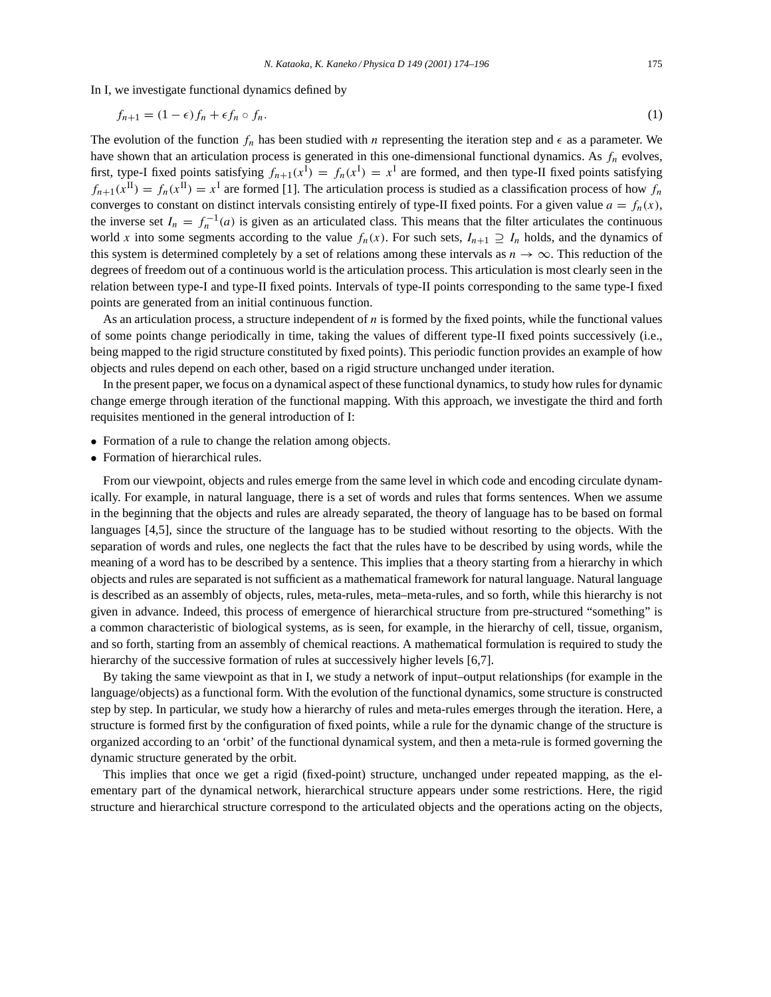In I, we investigate functional dynamics defined by

$$
f_{n+1} = (1 - \epsilon)f_n + \epsilon f_n \circ f_n. \tag{1}
$$

The evolution of the function  $f_n$  has been studied with n representing the iteration step and  $\epsilon$  as a parameter. We have shown that an articulation process is generated in this one-dimensional functional dynamics. As  $f_n$  evolves, first, type-I fixed points satisfying  $f_{n+1}(x^I) = f_n(x^I) = x^I$  are formed, and then type-II fixed points satisfying  $f_{n+1}(x^{II}) = f_n(x^{II}) = x^{I}$  are formed [1]. The articulation process is studied as a classification process of how  $f_n$ converges to constant on distinct intervals consisting entirely of type-II fixed points. For a given value  $a = f_n(x)$ , the inverse set  $I_n = f_n^{-1}(a)$  is given as an articulated class. This means that the filter articulates the continuous world x into some segments according to the value  $f_n(x)$ . For such sets,  $I_{n+1} \supseteq I_n$  holds, and the dynamics of this system is determined completely by a set of relations among these intervals as  $n \to \infty$ . This reduction of the degrees of freedom out of a continuous world is the articulation process. This articulation is most clearly seen in the relation between type-I and type-II fixed points. Intervals of type-II points corresponding to the same type-I fixed points are generated from an initial continuous function.

As an articulation process, a structure independent of  $n$  is formed by the fixed points, while the functional values of some points change periodically in time, taking the values of different type-II fixed points successively (i.e., being mapped to the rigid structure constituted by fixed points). This periodic function provides an example of how objects and rules depend on each other, based on a rigid structure unchanged under iteration.

In the present paper, we focus on a dynamical aspect of these functional dynamics, to study how rules for dynamic change emerge through iteration of the functional mapping. With this approach, we investigate the third and forth requisites mentioned in the general introduction of I:

- Formation of a rule to change the relation among objects.
- Formation of hierarchical rules.

From our viewpoint, objects and rules emerge from the same level in which code and encoding circulate dynamically. For example, in natural language, there is a set of words and rules that forms sentences. When we assume in the beginning that the objects and rules are already separated, the theory of language has to be based on formal languages [4,5], since the structure of the language has to be studied without resorting to the objects. With the separation of words and rules, one neglects the fact that the rules have to be described by using words, while the meaning of a word has to be described by a sentence. This implies that a theory starting from a hierarchy in which objects and rules are separated is not sufficient as a mathematical framework for natural language. Natural language is described as an assembly of objects, rules, meta-rules, meta–meta-rules, and so forth, while this hierarchy is not given in advance. Indeed, this process of emergence of hierarchical structure from pre-structured "something" is a common characteristic of biological systems, as is seen, for example, in the hierarchy of cell, tissue, organism, and so forth, starting from an assembly of chemical reactions. A mathematical formulation is required to study the hierarchy of the successive formation of rules at successively higher levels [6,7].

By taking the same viewpoint as that in I, we study a network of input–output relationships (for example in the language/objects) as a functional form. With the evolution of the functional dynamics, some structure is constructed step by step. In particular, we study how a hierarchy of rules and meta-rules emerges through the iteration. Here, a structure is formed first by the configuration of fixed points, while a rule for the dynamic change of the structure is organized according to an 'orbit' of the functional dynamical system, and then a meta-rule is formed governing the dynamic structure generated by the orbit.

This implies that once we get a rigid (fixed-point) structure, unchanged under repeated mapping, as the elementary part of the dynamical network, hierarchical structure appears under some restrictions. Here, the rigid structure and hierarchical structure correspond to the articulated objects and the operations acting on the objects,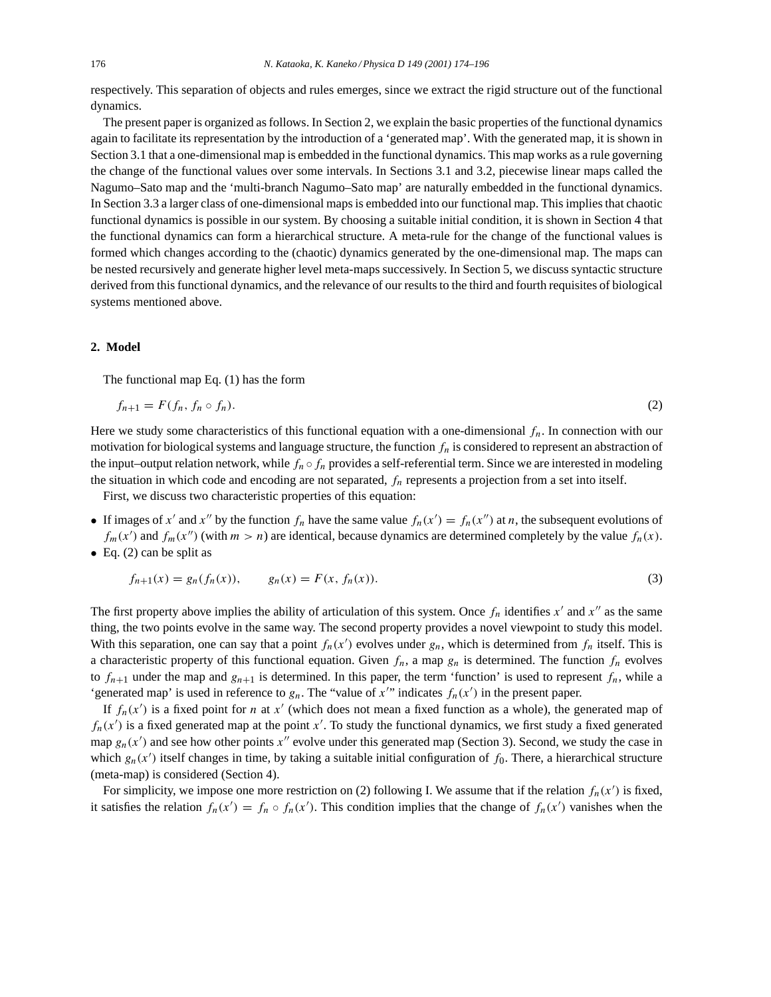respectively. This separation of objects and rules emerges, since we extract the rigid structure out of the functional dynamics.

The present paper is organized as follows. In Section 2, we explain the basic properties of the functional dynamics again to facilitate its representation by the introduction of a 'generated map'. With the generated map, it is shown in Section 3.1 that a one-dimensional map is embedded in the functional dynamics. This map works as a rule governing the change of the functional values over some intervals. In Sections 3.1 and 3.2, piecewise linear maps called the Nagumo–Sato map and the 'multi-branch Nagumo–Sato map' are naturally embedded in the functional dynamics. In Section 3.3 a larger class of one-dimensional maps is embedded into our functional map. This implies that chaotic functional dynamics is possible in our system. By choosing a suitable initial condition, it is shown in Section 4 that the functional dynamics can form a hierarchical structure. A meta-rule for the change of the functional values is formed which changes according to the (chaotic) dynamics generated by the one-dimensional map. The maps can be nested recursively and generate higher level meta-maps successively. In Section 5, we discuss syntactic structure derived from this functional dynamics, and the relevance of our results to the third and fourth requisites of biological systems mentioned above.

# **2. Model**

The functional map Eq. (1) has the form

$$
f_{n+1} = F(f_n, f_n \circ f_n). \tag{2}
$$

Here we study some characteristics of this functional equation with a one-dimensional  $f_n$ . In connection with our motivation for biological systems and language structure, the function  $f_n$  is considered to represent an abstraction of the input–output relation network, while  $f_n \circ f_n$  provides a self-referential term. Since we are interested in modeling the situation in which code and encoding are not separated,  $f_n$  represents a projection from a set into itself.

First, we discuss two characteristic properties of this equation:

- If images of x' and x'' by the function  $f_n$  have the same value  $f_n(x') = f_n(x'')$  at n, the subsequent evolutions of  $f_m(x')$  and  $f_m(x'')$  (with  $m > n$ ) are identical, because dynamics are determined completely by the value  $f_n(x)$ .
- Eq.  $(2)$  can be split as

$$
f_{n+1}(x) = g_n(f_n(x)), \qquad g_n(x) = F(x, f_n(x)).
$$
\n(3)

The first property above implies the ability of articulation of this system. Once  $f_n$  identifies x' and x'' as the same thing, the two points evolve in the same way. The second property provides a novel viewpoint to study this model. With this separation, one can say that a point  $f_n(x')$  evolves under  $g_n$ , which is determined from  $f_n$  itself. This is a characteristic property of this functional equation. Given  $f_n$ , a map  $g_n$  is determined. The function  $f_n$  evolves to  $f_{n+1}$  under the map and  $g_{n+1}$  is determined. In this paper, the term 'function' is used to represent  $f_n$ , while a 'generated map' is used in reference to  $g_n$ . The "value of x'" indicates  $f_n(x')$  in the present paper.

If  $f_n(x')$  is a fixed point for n at x' (which does not mean a fixed function as a whole), the generated map of  $f_n(x')$  is a fixed generated map at the point x'. To study the functional dynamics, we first study a fixed generated map  $g_n(x')$  and see how other points x'' evolve under this generated map (Section 3). Second, we study the case in which  $g_n(x')$  itself changes in time, by taking a suitable initial configuration of  $f_0$ . There, a hierarchical structure (meta-map) is considered (Section 4).

For simplicity, we impose one more restriction on (2) following I. We assume that if the relation  $f_n(x')$  is fixed, it satisfies the relation  $f_n(x') = f_n \circ f_n(x')$ . This condition implies that the change of  $f_n(x')$  vanishes when the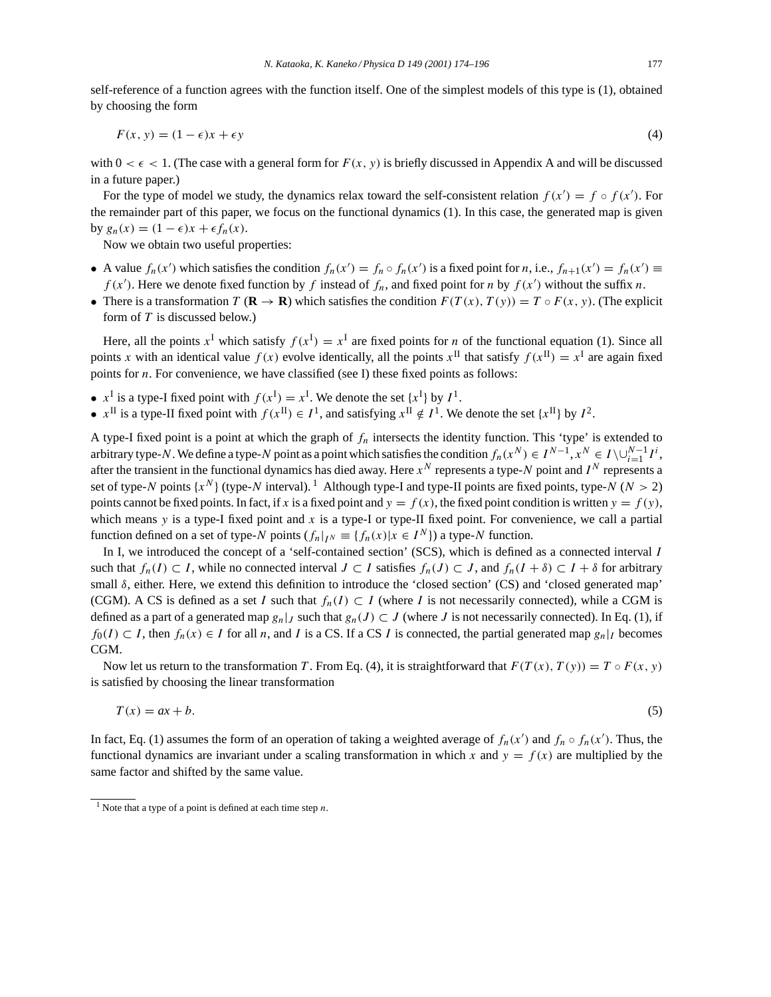self-reference of a function agrees with the function itself. One of the simplest models of this type is (1), obtained by choosing the form

$$
F(x, y) = (1 - \epsilon)x + \epsilon y \tag{4}
$$

with  $0 < \epsilon < 1$ . (The case with a general form for  $F(x, y)$  is briefly discussed in Appendix A and will be discussed in a future paper.)

For the type of model we study, the dynamics relax toward the self-consistent relation  $f(x') = f \circ f(x')$ . For the remainder part of this paper, we focus on the functional dynamics (1). In this case, the generated map is given by  $g_n(x) = (1 - \epsilon)x + \epsilon f_n(x)$ .

Now we obtain two useful properties:

- A value  $f_n(x')$  which satisfies the condition  $f_n(x') = f_n \circ f_n(x')$  is a fixed point for *n*, i.e.,  $f_{n+1}(x') = f_n(x') \equiv$  $f(x')$ . Here we denote fixed function by f instead of  $f_n$ , and fixed point for n by  $f(x')$  without the suffix n.
- There is a transformation  $T (\mathbf{R} \to \mathbf{R})$  which satisfies the condition  $F(T(x), T(y)) = T \circ F(x, y)$ . (The explicit form of  $T$  is discussed below.)

Here, all the points  $x^I$  which satisfy  $f(x^I) = x^I$  are fixed points for *n* of the functional equation (1). Since all points x with an identical value  $f(x)$  evolve identically, all the points  $x^{\text{II}}$  that satisfy  $f(x^{\text{II}}) = x^{\text{I}}$  are again fixed points for n. For convenience, we have classified (see I) these fixed points as follows:

- $x^I$  is a type-I fixed point with  $f(x^I) = x^I$ . We denote the set  $\{x^I\}$  by  $I^1$ .
- $x^{\text{II}}$  is a type-II fixed point with  $f(x^{\text{II}}) \in I^1$ , and satisfying  $x^{\text{II}} \notin I^1$ . We denote the set  $\{x^{\text{II}}\}$  by  $I^2$ .

A type-I fixed point is a point at which the graph of  $f_n$  intersects the identity function. This 'type' is extended to arbitrary type-N. We define a type-N point as a point which satisfies the condition  $f_n(x^N) \in I^{N-1}, x^N \in I \setminus \bigcup_{i=1}^{N-1} I^i$ , after the transient in the functional dynamics has died away. Here  $x^N$  represents a type-N point and  $I^N$  represents a set of type-N points  $\{x^N\}$  (type-N interval). <sup>1</sup> Although type-I and type-II points are fixed points, type-N (N > 2) points cannot be fixed points. In fact, if x is a fixed point and  $y = f(x)$ , the fixed point condition is written  $y = f(y)$ , which means y is a type-I fixed point and x is a type-I or type-II fixed point. For convenience, we call a partial function defined on a set of type-N points  $(f_n|_{I^N} \equiv \{f_n(x)|x \in I^N\})$  a type-N function.

In I, we introduced the concept of a 'self-contained section' (SCS), which is defined as a connected interval I such that  $f_n(I) \subset I$ , while no connected interval  $J \subset I$  satisfies  $f_n(J) \subset J$ , and  $f_n(I + \delta) \subset I + \delta$  for arbitrary small δ, either. Here, we extend this definition to introduce the 'closed section' (CS) and 'closed generated map' (CGM). A CS is defined as a set I such that  $f_n(I) \subset I$  (where I is not necessarily connected), while a CGM is defined as a part of a generated map  $g_n|_J$  such that  $g_n(J) \subset J$  (where J is not necessarily connected). In Eq. (1), if  $f_0(I) \subset I$ , then  $f_n(x) \in I$  for all n, and I is a CS. If a CS I is connected, the partial generated map  $g_n|_I$  becomes CGM.

Now let us return to the transformation T. From Eq. (4), it is straightforward that  $F(T(x), T(y)) = T \circ F(x, y)$ is satisfied by choosing the linear transformation

$$
T(x) = ax + b. \tag{5}
$$

In fact, Eq. (1) assumes the form of an operation of taking a weighted average of  $f_n(x')$  and  $f_n \circ f_n(x')$ . Thus, the functional dynamics are invariant under a scaling transformation in which x and  $y = f(x)$  are multiplied by the same factor and shifted by the same value.

<sup>&</sup>lt;sup>1</sup> Note that a type of a point is defined at each time step *n*.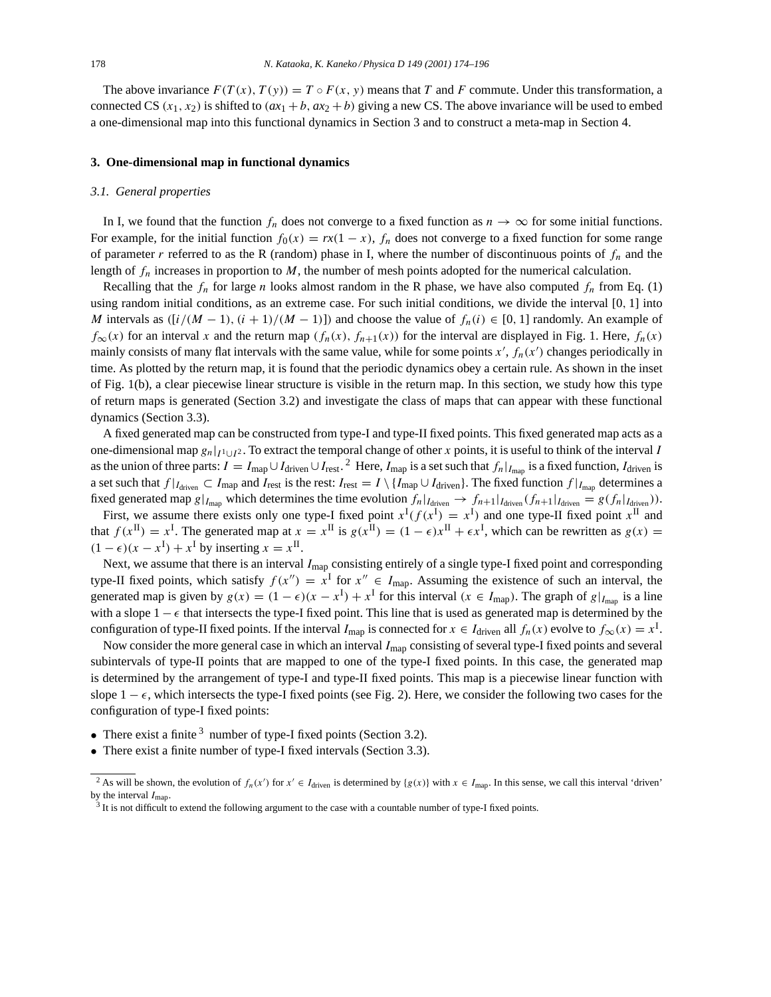The above invariance  $F(T(x), T(y)) = T \circ F(x, y)$  means that T and F commute. Under this transformation, a connected CS  $(x_1, x_2)$  is shifted to  $(ax_1 + b, ax_2 + b)$  giving a new CS. The above invariance will be used to embed a one-dimensional map into this functional dynamics in Section 3 and to construct a meta-map in Section 4.

# **3. One-dimensional map in functional dynamics**

#### *3.1. General properties*

In I, we found that the function  $f_n$  does not converge to a fixed function as  $n \to \infty$  for some initial functions. For example, for the initial function  $f_0(x) = rx(1-x)$ ,  $f_n$  does not converge to a fixed function for some range of parameter r referred to as the R (random) phase in I, where the number of discontinuous points of  $f_n$  and the length of  $f_n$  increases in proportion to M, the number of mesh points adopted for the numerical calculation.

Recalling that the  $f_n$  for large n looks almost random in the R phase, we have also computed  $f_n$  from Eq. (1) using random initial conditions, as an extreme case. For such initial conditions, we divide the interval [0, 1] into M intervals as  $([i/(M-1), (i + 1)/(M-1)])$  and choose the value of  $f_n(i) \in [0, 1]$  randomly. An example of  $f_{\infty}(x)$  for an interval x and the return map  $(f_n(x), f_{n+1}(x))$  for the interval are displayed in Fig. 1. Here,  $f_n(x)$ mainly consists of many flat intervals with the same value, while for some points  $x'$ ,  $f_n(x')$  changes periodically in time. As plotted by the return map, it is found that the periodic dynamics obey a certain rule. As shown in the inset of Fig. 1(b), a clear piecewise linear structure is visible in the return map. In this section, we study how this type of return maps is generated (Section 3.2) and investigate the class of maps that can appear with these functional dynamics (Section 3.3).

A fixed generated map can be constructed from type-I and type-II fixed points. This fixed generated map acts as a one-dimensional map  $g_n|_{I^1 \cup I^2}$ . To extract the temporal change of other x points, it is useful to think of the interval I as the union of three parts:  $I = I_{\text{map}} \cup I_{\text{driven}} \cup I_{\text{rest}}$ . <sup>2</sup> Here,  $I_{\text{map}}$  is a set such that  $f_n|_{I_{\text{map}}}$  is a fixed function,  $I_{\text{driven}}$  is a set such that  $f|_{I_{\text{driven}}} \subset I_{\text{map}}$  and  $I_{\text{rest}}$  is the rest:  $I_{\text{rest}} = I \setminus \{I_{\text{map}} \cup I_{\text{driven}}\}$ . The fixed function  $f|_{I_{\text{map}}}$  determines a fixed generated map  $g|_{I_{\text{map}}}$  which determines the time evolution  $f_n|_{I_{\text{driven}}} \to f_{n+1}|_{I_{\text{driven}}} (f_{n+1}|_{I_{\text{driven}}} = g(f_n|_{I_{\text{driven}}}).$ 

First, we assume there exists only one type-I fixed point  $x^I(f(x^I) = x^I)$  and one type-II fixed point  $x^I$  and that  $f(x^{II}) = x^{I}$ . The generated map at  $x = x^{II}$  is  $g(x^{II}) = (1 - \epsilon)x^{II} + \epsilon x^{I}$ , which can be rewritten as  $g(x) =$  $(1 - \epsilon)(x - x^{I}) + x^{I}$  by inserting  $x = x^{II}$ .

Next, we assume that there is an interval  $I_{map}$  consisting entirely of a single type-I fixed point and corresponding type-II fixed points, which satisfy  $f(x'') = x^{\text{I}}$  for  $x'' \in I_{\text{map}}$ . Assuming the existence of such an interval, the generated map is given by  $g(x) = (1 - \epsilon)(x - x^{I}) + x^{I}$  for this interval  $(x \in I_{\text{map}})$ . The graph of  $g|_{I_{\text{map}}}$  is a line with a slope  $1 - \epsilon$  that intersects the type-I fixed point. This line that is used as generated map is determined by the configuration of type-II fixed points. If the interval  $I_{\text{map}}$  is connected for  $x \in I_{\text{driven}}$  all  $f_n(x)$  evolve to  $f_{\infty}(x) = x^{\text{I}}$ .

Now consider the more general case in which an interval  $I_{\text{map}}$  consisting of several type-I fixed points and several subintervals of type-II points that are mapped to one of the type-I fixed points. In this case, the generated map is determined by the arrangement of type-I and type-II fixed points. This map is a piecewise linear function with slope  $1 - \epsilon$ , which intersects the type-I fixed points (see Fig. 2). Here, we consider the following two cases for the configuration of type-I fixed points:

- There exist a finite  $3$  number of type-I fixed points (Section 3.2).
- There exist a finite number of type-I fixed intervals (Section 3.3).

<sup>&</sup>lt;sup>2</sup> As will be shown, the evolution of  $f_n(x')$  for  $x' \in I_{\text{driven}}$  is determined by  $\{g(x)\}\$ with  $x \in I_{\text{map}}$ . In this sense, we call this interval 'driven' by the interval  $I_{\text{map}}$ .<br><sup>3</sup> It is not difficult to extend the following argument to the case with a countable number of type-I fixed points.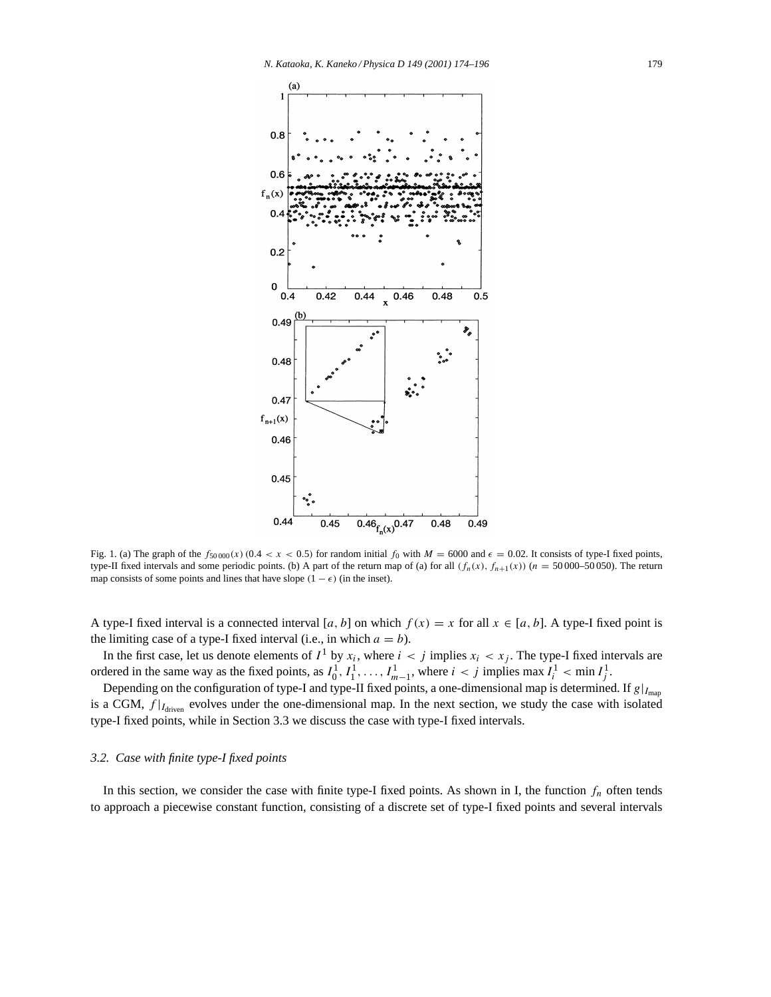

Fig. 1. (a) The graph of the  $f_{50000}(x)$  (0.4 < x < 0.5) for random initial  $f_0$  with  $M = 6000$  and  $\epsilon = 0.02$ . It consists of type-I fixed points, type-II fixed intervals and some periodic points. (b) A part of the return map of (a) for all  $(f_n(x), f_{n+1}(x))$  ( $n = 50000-50050$ ). The return map consists of some points and lines that have slope (1 –  $\epsilon$ ) (in the inset).

A type-I fixed interval is a connected interval [a, b] on which  $f(x) = x$  for all  $x \in [a, b]$ . A type-I fixed point is the limiting case of a type-I fixed interval (i.e., in which  $a = b$ ).

In the first case, let us denote elements of  $I^1$  by  $x_i$ , where  $i < j$  implies  $x_i < x_j$ . The type-I fixed intervals are ordered in the same way as the fixed points, as  $I_0^1, I_1^1, \ldots, I_{m-1}^1$ , where  $i < j$  implies max  $I_i^1 < \min I_j^1$ .

Depending on the configuration of type-I and type-II fixed points, a one-dimensional map is determined. If  $g|_{I_{map}}$ is a CGM,  $f|_{I_{\text{driven}}}$  evolves under the one-dimensional map. In the next section, we study the case with isolated type-I fixed points, while in Section 3.3 we discuss the case with type-I fixed intervals.

## *3.2. Case with finite type-I fixed points*

In this section, we consider the case with finite type-I fixed points. As shown in I, the function  $f_n$  often tends to approach a piecewise constant function, consisting of a discrete set of type-I fixed points and several intervals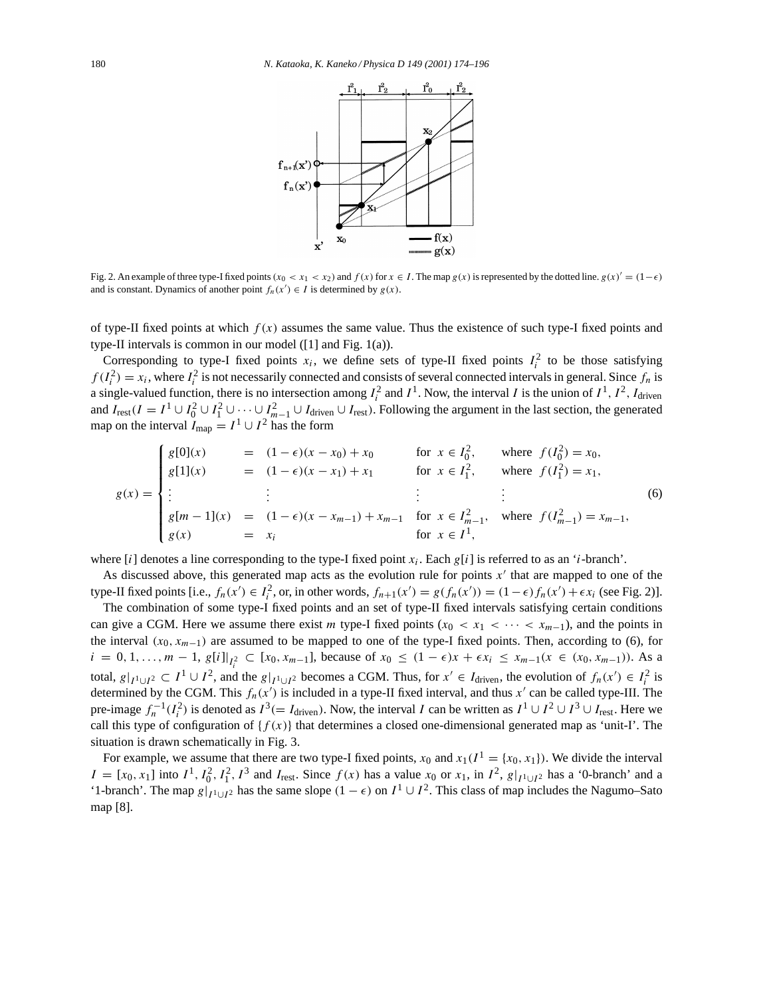

Fig. 2. An example of three type-I fixed points (x<sub>0</sub> < x<sub>1</sub> < x<sub>2</sub>) and  $f(x)$  for  $x \in I$ . The map  $g(x)$  is represented by the dotted line.  $g(x)' = (1-\epsilon)$ and is constant. Dynamics of another point  $f_n(x') \in I$  is determined by  $g(x)$ .

of type-II fixed points at which  $f(x)$  assumes the same value. Thus the existence of such type-I fixed points and type-II intervals is common in our model ([1] and Fig. 1(a)).

Corresponding to type-I fixed points  $x_i$ , we define sets of type-II fixed points  $I_i^2$  to be those satisfying  $f(I_i^2) = x_i$ , where  $I_i^2$  is not necessarily connected and consists of several connected intervals in general. Since  $f_n$  is a single-valued function, there is no intersection among  $I_i^2$  and  $I^1$ . Now, the interval I is the union of  $I^1$ ,  $I^2$ ,  $I_{\text{driven}}$ and  $I_{\text{rest}}(I = I^1 \cup I_0^2 \cup I_1^2 \cup \cdots \cup I_{m-1}^2 \cup I_{\text{driven}} \cup I_{\text{rest}})$ . Following the argument in the last section, the generated map on the interval  $I_{\text{map}} = I^1 \cup I^2$  has the form

$$
g(x) = \begin{cases} g[0](x) &= (1 - \epsilon)(x - x_0) + x_0 & \text{for } x \in I_0^2, \text{ where } f(I_0^2) = x_0, \\ g[1](x) &= (1 - \epsilon)(x - x_1) + x_1 & \text{for } x \in I_1^2, \text{ where } f(I_1^2) = x_1, \\ \vdots & \vdots & \vdots \\ g[m-1](x) &= (1 - \epsilon)(x - x_{m-1}) + x_{m-1} & \text{for } x \in I_{m-1}^2, \text{ where } f(I_{m-1}^2) = x_{m-1}, \\ g(x) &= x_i & \text{for } x \in I^1, \end{cases} \tag{6}
$$

where  $[i]$  denotes a line corresponding to the type-I fixed point  $x_i$ . Each  $g[i]$  is referred to as an '*i*-branch'.

As discussed above, this generated map acts as the evolution rule for points  $x<sup>'</sup>$  that are mapped to one of the type-II fixed points [i.e.,  $f_n(x') \in I_i^2$ , or, in other words,  $f_{n+1}(x') = g(f_n(x')) = (1 - \epsilon) f_n(x') + \epsilon x_i$  (see Fig. 2)].

The combination of some type-I fixed points and an set of type-II fixed intervals satisfying certain conditions can give a CGM. Here we assume there exist m type-I fixed points ( $x_0 < x_1 < \cdots < x_{m-1}$ ), and the points in the interval  $(x_0, x_{m-1})$  are assumed to be mapped to one of the type-I fixed points. Then, according to (6), for  $i = 0, 1, \ldots, m - 1$ ,  $g[i]|_{I_i^2} \subset [x_0, x_{m-1}]$ , because of  $x_0 \le (1 - \epsilon)x + \epsilon x_i \le x_{m-1}(x \in (x_0, x_{m-1}))$ . As a total,  $g|_{I^1 \cup I^2} \subset I^1 \cup I^2$ , and the  $g|_{I^1 \cup I^2}$  becomes a CGM. Thus, for  $x' \in I_{\text{driven}}$ , the evolution of  $f_n(x') \in I_i^2$  is determined by the CGM. This  $f_n(x')$  is included in a type-II fixed interval, and thus  $x'$  can be called type-III. The pre-image  $f_n^{-1}(I_i^2)$  is denoted as  $I^3(=I_{\text{driven}})$ . Now, the interval I can be written as  $I^1 \cup I^2 \cup I^3 \cup I_{\text{rest}}$ . Here we call this type of configuration of  $\{f(x)\}$  that determines a closed one-dimensional generated map as 'unit-I'. The situation is drawn schematically in Fig. 3.

For example, we assume that there are two type-I fixed points,  $x_0$  and  $x_1(I^1 = \{x_0, x_1\})$ . We divide the interval  $I = [x_0, x_1]$  into  $I^1, I_0^2, I_1^2, I^3$  and  $I_{\text{rest}}$ . Since  $f(x)$  has a value  $x_0$  or  $x_1$ , in  $I^2, g|_{I^1 \cup I^2}$  has a '0-branch' and a '1-branch'. The map  $g|_{I^1 \cup I^2}$  has the same slope  $(1 - \epsilon)$  on  $I^1 \cup I^2$ . This class of map includes the Nagumo–Sato map [8].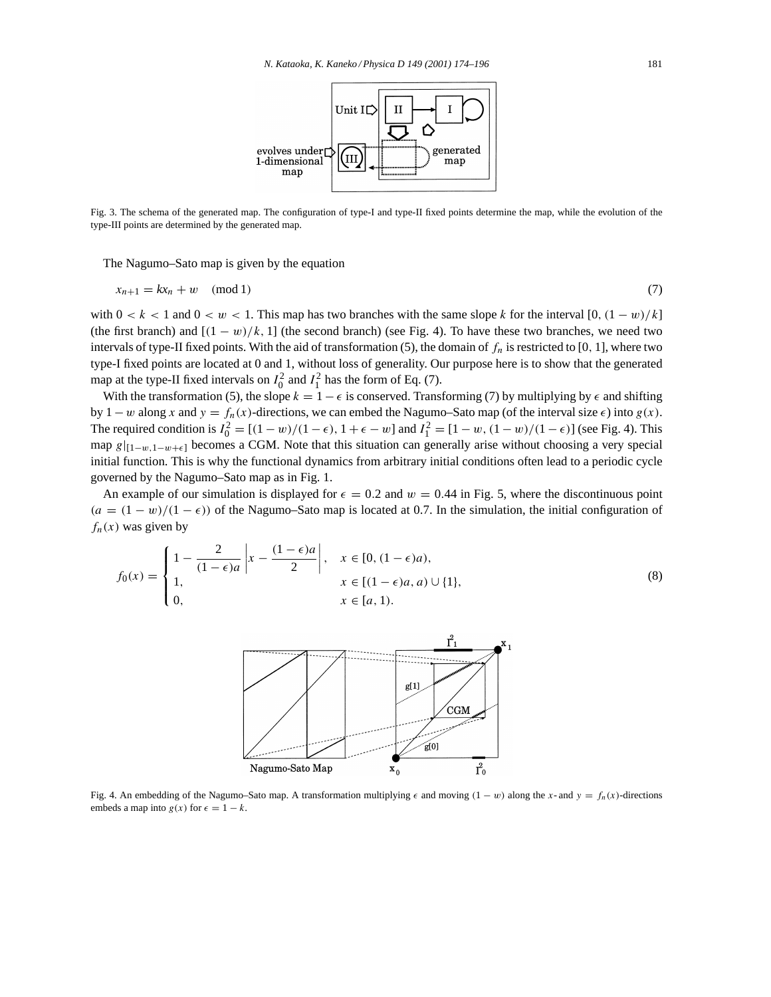

Fig. 3. The schema of the generated map. The configuration of type-I and type-II fixed points determine the map, while the evolution of the type-III points are determined by the generated map.

The Nagumo–Sato map is given by the equation

$$
x_{n+1} = kx_n + w \pmod{1} \tag{7}
$$

with  $0 < k < 1$  and  $0 < w < 1$ . This map has two branches with the same slope k for the interval [0,  $(1 - w)/k$ ] (the first branch) and  $[(1 - w)/k, 1]$  (the second branch) (see Fig. 4). To have these two branches, we need two intervals of type-II fixed points. With the aid of transformation (5), the domain of  $f_n$  is restricted to [0, 1], where two type-I fixed points are located at 0 and 1, without loss of generality. Our purpose here is to show that the generated map at the type-II fixed intervals on  $I_0^2$  and  $I_1^2$  has the form of Eq. (7).

With the transformation (5), the slope  $k = 1 - \epsilon$  is conserved. Transforming (7) by multiplying by  $\epsilon$  and shifting by 1 – w along x and y =  $f_n(x)$ -directions, we can embed the Nagumo–Sato map (of the interval size  $\epsilon$ ) into  $g(x)$ . The required condition is  $I_0^2 = [(1 - w)/(1 - \epsilon), 1 + \epsilon - w]$  and  $I_1^2 = [1 - w, (1 - w)/(1 - \epsilon)]$  (see Fig. 4). This map  $g|_{[1-w,1-w+\epsilon]}$  becomes a CGM. Note that this situation can generally arise without choosing a very special initial function. This is why the functional dynamics from arbitrary initial conditions often lead to a periodic cycle governed by the Nagumo–Sato map as in Fig. 1.

An example of our simulation is displayed for  $\epsilon = 0.2$  and  $w = 0.44$  in Fig. 5, where the discontinuous point  $(a = (1 - w)/(1 - \epsilon))$  of the Nagumo–Sato map is located at 0.7. In the simulation, the initial configuration of  $f_n(x)$  was given by

$$
f_0(x) = \begin{cases} 1 - \frac{2}{(1 - \epsilon)a} \left| x - \frac{(1 - \epsilon)a}{2} \right|, & x \in [0, (1 - \epsilon)a), \\ 1, & x \in [(1 - \epsilon)a, a) \cup \{1\}, \\ 0, & x \in [a, 1). \end{cases}
$$
(8)



Fig. 4. An embedding of the Nagumo–Sato map. A transformation multiplying  $\epsilon$  and moving  $(1 - w)$  along the x- and  $y = f_n(x)$ -directions embeds a map into  $g(x)$  for  $\epsilon = 1 - k$ .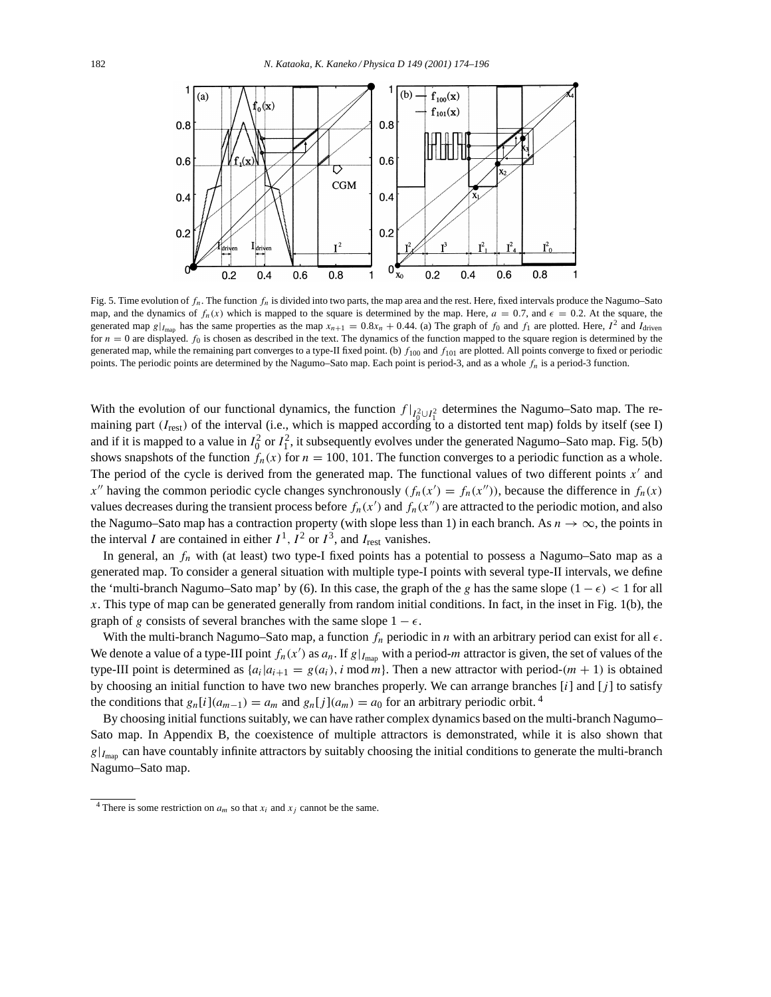

Fig. 5. Time evolution of  $f_n$ . The function  $f_n$  is divided into two parts, the map area and the rest. Here, fixed intervals produce the Nagumo–Sato map, and the dynamics of  $f_n(x)$  which is mapped to the square is determined by the map. Here,  $a = 0.7$ , and  $\epsilon = 0.2$ . At the square, the generated map  $g|_{I_{\text{map}}}$  has the same properties as the map  $x_{n+1} = 0.8x_n + 0.44$ . (a) The graph of  $f_0$  and  $f_1$  are plotted. Here,  $I^2$  and  $I_{\text{driven}}$ for  $n = 0$  are displayed.  $f_0$  is chosen as described in the text. The dynamics of the function mapped to the square region is determined by the generated map, while the remaining part converges to a type-II fixed point. (b)  $f_{100}$  and  $f_{101}$  are plotted. All points converge to fixed or periodic points. The periodic points are determined by the Nagumo–Sato map. Each point is period-3, and as a whole  $f_n$  is a period-3 function.

With the evolution of our functional dynamics, the function  $f|_{I_0^2 \cup I_1^2}$  determines the Nagumo–Sato map. The remaining part  $(I_{rest})$  of the interval (i.e., which is mapped according to a distorted tent map) folds by itself (see I) and if it is mapped to a value in  $I_0^2$  or  $I_1^2$ , it subsequently evolves under the generated Nagumo–Sato map. Fig. 5(b) shows snapshots of the function  $f_n(x)$  for  $n = 100$ , 101. The function converges to a periodic function as a whole. The period of the cycle is derived from the generated map. The functional values of two different points  $x'$  and x'' having the common periodic cycle changes synchronously  $(f_n(x') = f_n(x''))$ , because the difference in  $f_n(x)$ values decreases during the transient process before  $f_n(x')$  and  $f_n(x'')$  are attracted to the periodic motion, and also the Nagumo–Sato map has a contraction property (with slope less than 1) in each branch. As  $n \to \infty$ , the points in the interval I are contained in either  $I^1$ ,  $I^2$  or  $I^3$ , and  $I_{\text{rest}}$  vanishes.

In general, an  $f_n$  with (at least) two type-I fixed points has a potential to possess a Nagumo–Sato map as a generated map. To consider a general situation with multiple type-I points with several type-II intervals, we define the 'multi-branch Nagumo–Sato map' by (6). In this case, the graph of the g has the same slope  $(1 - \epsilon) < 1$  for all x. This type of map can be generated generally from random initial conditions. In fact, in the inset in Fig.  $1(b)$ , the graph of g consists of several branches with the same slope  $1 - \epsilon$ .

With the multi-branch Nagumo–Sato map, a function  $f_n$  periodic in n with an arbitrary period can exist for all  $\epsilon$ . We denote a value of a type-III point  $f_n(x')$  as  $a_n$ . If  $g|_{I_{map}}$  with a period-m attractor is given, the set of values of the type-III point is determined as  $\{a_i|a_{i+1} = g(a_i), i \mod m\}$ . Then a new attractor with period-( $m + 1$ ) is obtained by choosing an initial function to have two new branches properly. We can arrange branches  $[i]$  and  $[j]$  to satisfy the conditions that  $g_n[i](a_{m-1}) = a_m$  and  $g_n[j](a_m) = a_0$  for an arbitrary periodic orbit.<sup>4</sup>

By choosing initial functions suitably, we can have rather complex dynamics based on the multi-branch Nagumo– Sato map. In Appendix B, the coexistence of multiple attractors is demonstrated, while it is also shown that  $g|_{I_{\text{map}}}$  can have countably infinite attractors by suitably choosing the initial conditions to generate the multi-branch Nagumo–Sato map.

<sup>&</sup>lt;sup>4</sup> There is some restriction on  $a_m$  so that  $x_i$  and  $x_j$  cannot be the same.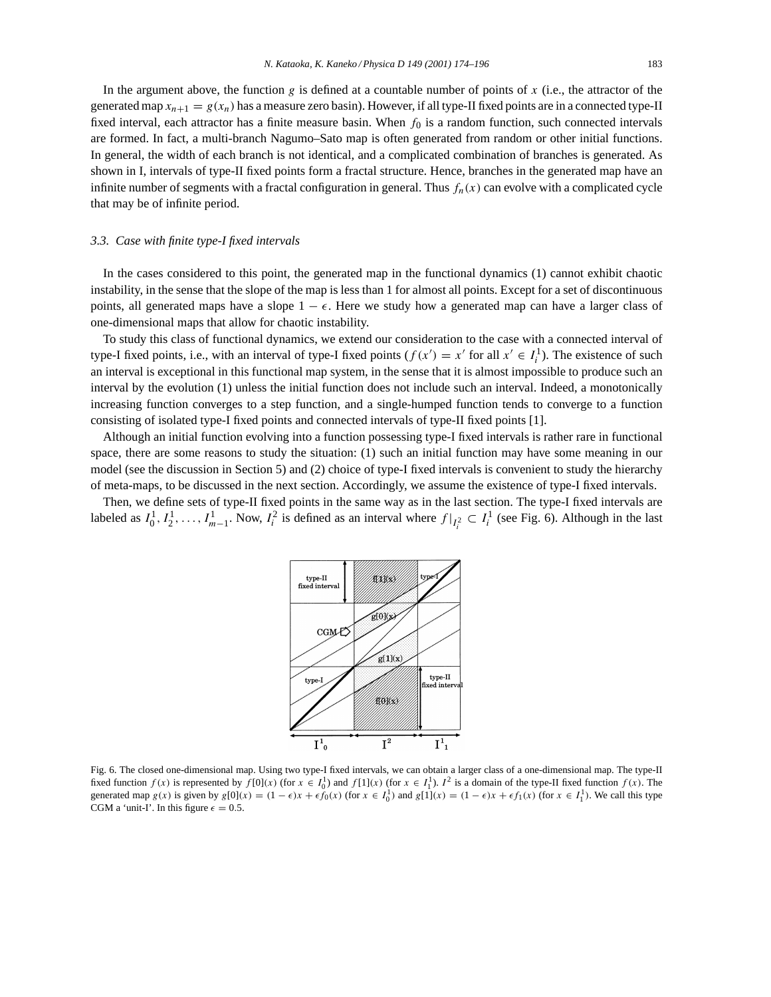In the argument above, the function g is defined at a countable number of points of x (i.e., the attractor of the generated map  $x_{n+1} = g(x_n)$  has a measure zero basin). However, if all type-II fixed points are in a connected type-II fixed interval, each attractor has a finite measure basin. When  $f_0$  is a random function, such connected intervals are formed. In fact, a multi-branch Nagumo–Sato map is often generated from random or other initial functions. In general, the width of each branch is not identical, and a complicated combination of branches is generated. As shown in I, intervals of type-II fixed points form a fractal structure. Hence, branches in the generated map have an infinite number of segments with a fractal configuration in general. Thus  $f_n(x)$  can evolve with a complicated cycle that may be of infinite period.

# *3.3. Case with finite type-I fixed intervals*

In the cases considered to this point, the generated map in the functional dynamics (1) cannot exhibit chaotic instability, in the sense that the slope of the map is less than 1 for almost all points. Except for a set of discontinuous points, all generated maps have a slope  $1 - \epsilon$ . Here we study how a generated map can have a larger class of one-dimensional maps that allow for chaotic instability.

To study this class of functional dynamics, we extend our consideration to the case with a connected interval of type-I fixed points, i.e., with an interval of type-I fixed points  $(f(x') = x'$  for all  $x' \in I_i^1$ ). The existence of such an interval is exceptional in this functional map system, in the sense that it is almost impossible to produce such an interval by the evolution (1) unless the initial function does not include such an interval. Indeed, a monotonically increasing function converges to a step function, and a single-humped function tends to converge to a function consisting of isolated type-I fixed points and connected intervals of type-II fixed points [1].

Although an initial function evolving into a function possessing type-I fixed intervals is rather rare in functional space, there are some reasons to study the situation: (1) such an initial function may have some meaning in our model (see the discussion in Section 5) and (2) choice of type-I fixed intervals is convenient to study the hierarchy of meta-maps, to be discussed in the next section. Accordingly, we assume the existence of type-I fixed intervals.

Then, we define sets of type-II fixed points in the same way as in the last section. The type-I fixed intervals are labeled as  $I_0^1, I_2^1, \ldots, I_{m-1}^1$ . Now,  $I_i^2$  is defined as an interval where  $f|_{I_i^2} \subset I_i^1$  (see Fig. 6). Although in the last



Fig. 6. The closed one-dimensional map. Using two type-I fixed intervals, we can obtain a larger class of a one-dimensional map. The type-II fixed function  $f(x)$  is represented by  $f[0](x)$  (for  $x \in I_0^1$ ) and  $f[1](x)$  (for  $x \in I_1^1$ ).  $I^2$  is a domain of the type-II fixed function  $f(x)$ . The generated map  $g(x)$  is given by  $g[0](x) = (1 - \epsilon)x + \epsilon f_0(x)$  (for  $x \in I_0^1$ ) and  $g[1](x) = (1 - \epsilon)x + \epsilon f_1(x)$  (for  $x \in I_1^1$ ). We call this type CGM a 'unit-I'. In this figure  $\epsilon = 0.5$ .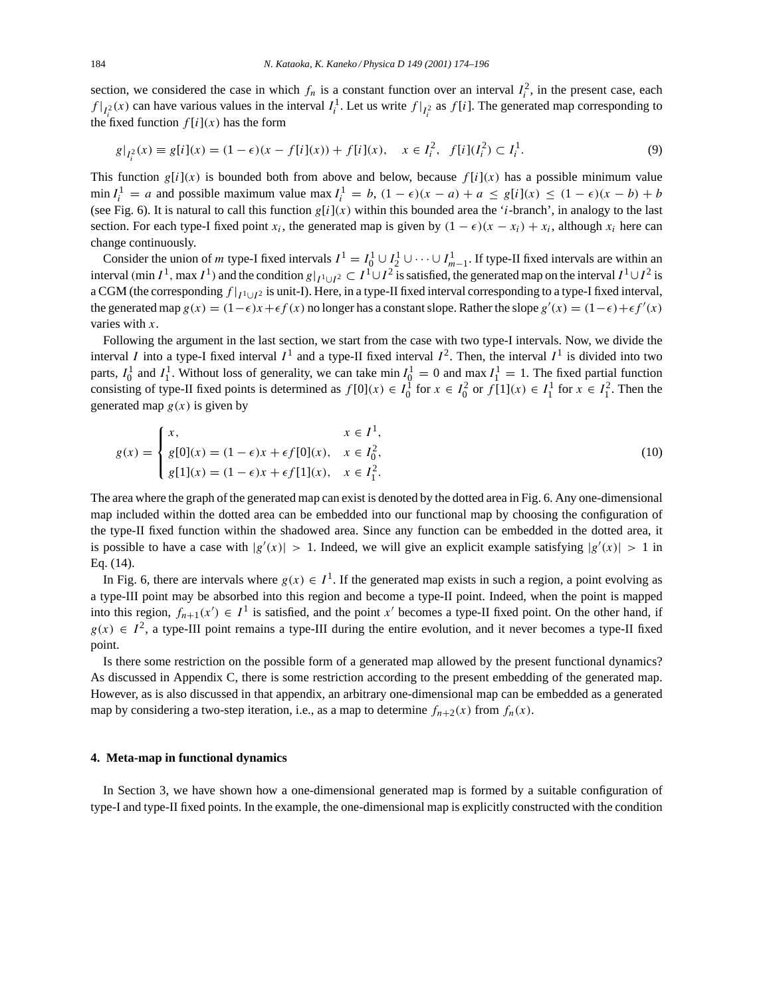section, we considered the case in which  $f_n$  is a constant function over an interval  $I_i^2$ , in the present case, each  $f|_{I_i^2}(x)$  can have various values in the interval  $I_i^1$ . Let us write  $f|_{I_i^2}$  as  $f[i]$ . The generated map corresponding to the fixed function  $f[i](x)$  has the form

$$
g|_{I_i^2}(x) \equiv g[i](x) = (1 - \epsilon)(x - f[i](x)) + f[i](x), \quad x \in I_i^2, \ f[i](I_i^2) \subset I_i^1. \tag{9}
$$

This function  $g[i](x)$  is bounded both from above and below, because  $f[i](x)$  has a possible minimum value min  $I_i^1 = a$  and possible maximum value max  $I_i^1 = b$ ,  $(1 - \epsilon)(x - a) + a \le g[i](x) \le (1 - \epsilon)(x - b) + b$ (see Fig. 6). It is natural to call this function  $g[i](x)$  within this bounded area the 'i-branch', in analogy to the last section. For each type-I fixed point  $x_i$ , the generated map is given by  $(1 - \epsilon)(x - x_i) + x_i$ , although  $x_i$  here can change continuously.

Consider the union of m type-I fixed intervals  $I^1 = I_0^1 \cup I_2^1 \cup \cdots \cup I_{m-1}^1$ . If type-II fixed intervals are within an interval (min  $I^1$ , max  $I^1$ ) and the condition g| $I^1 \cup I^2$  is satisfied, the generated map on the interval  $I^1 \cup I^2$  is a CGM (the corresponding  $f|_{I^1 \cup I^2}$  is unit-I). Here, in a type-II fixed interval corresponding to a type-I fixed interval, the generated map  $g(x) = (1 - \epsilon)x + \epsilon f(x)$  no longer has a constant slope. Rather the slope  $g'(x) = (1 - \epsilon) + \epsilon f'(x)$ varies with  $x$ .

Following the argument in the last section, we start from the case with two type-I intervals. Now, we divide the interval I into a type-I fixed interval  $I^1$  and a type-II fixed interval  $I^2$ . Then, the interval  $I^1$  is divided into two parts,  $I_0^1$  and  $I_1^1$ . Without loss of generality, we can take min  $I_0^1 = 0$  and max  $I_1^1 = 1$ . The fixed partial function consisting of type-II fixed points is determined as  $f[0](x) \in I_0^{\bar{1}}$  for  $x \in I_0^2$  or  $f[1](x) \in I_1^{\bar{1}}$  for  $x \in I_1^2$ . Then the generated map  $g(x)$  is given by

$$
g(x) = \begin{cases} x, & x \in I^1, \\ g[0](x) = (1 - \epsilon)x + \epsilon f[0](x), & x \in I_0^2, \\ g[1](x) = (1 - \epsilon)x + \epsilon f[1](x), & x \in I_1^2. \end{cases}
$$
(10)

The area where the graph of the generated map can exist is denoted by the dotted area in Fig. 6. Any one-dimensional map included within the dotted area can be embedded into our functional map by choosing the configuration of the type-II fixed function within the shadowed area. Since any function can be embedded in the dotted area, it is possible to have a case with  $|g'(x)| > 1$ . Indeed, we will give an explicit example satisfying  $|g'(x)| > 1$  in Eq. (14).

In Fig. 6, there are intervals where  $g(x) \in I^1$ . If the generated map exists in such a region, a point evolving as a type-III point may be absorbed into this region and become a type-II point. Indeed, when the point is mapped into this region,  $f_{n+1}(x') \in I^1$  is satisfied, and the point x' becomes a type-II fixed point. On the other hand, if  $g(x) \in I^2$ , a type-III point remains a type-III during the entire evolution, and it never becomes a type-II fixed point.

Is there some restriction on the possible form of a generated map allowed by the present functional dynamics? As discussed in Appendix C, there is some restriction according to the present embedding of the generated map. However, as is also discussed in that appendix, an arbitrary one-dimensional map can be embedded as a generated map by considering a two-step iteration, i.e., as a map to determine  $f_{n+2}(x)$  from  $f_n(x)$ .

# **4. Meta-map in functional dynamics**

In Section 3, we have shown how a one-dimensional generated map is formed by a suitable configuration of type-I and type-II fixed points. In the example, the one-dimensional map is explicitly constructed with the condition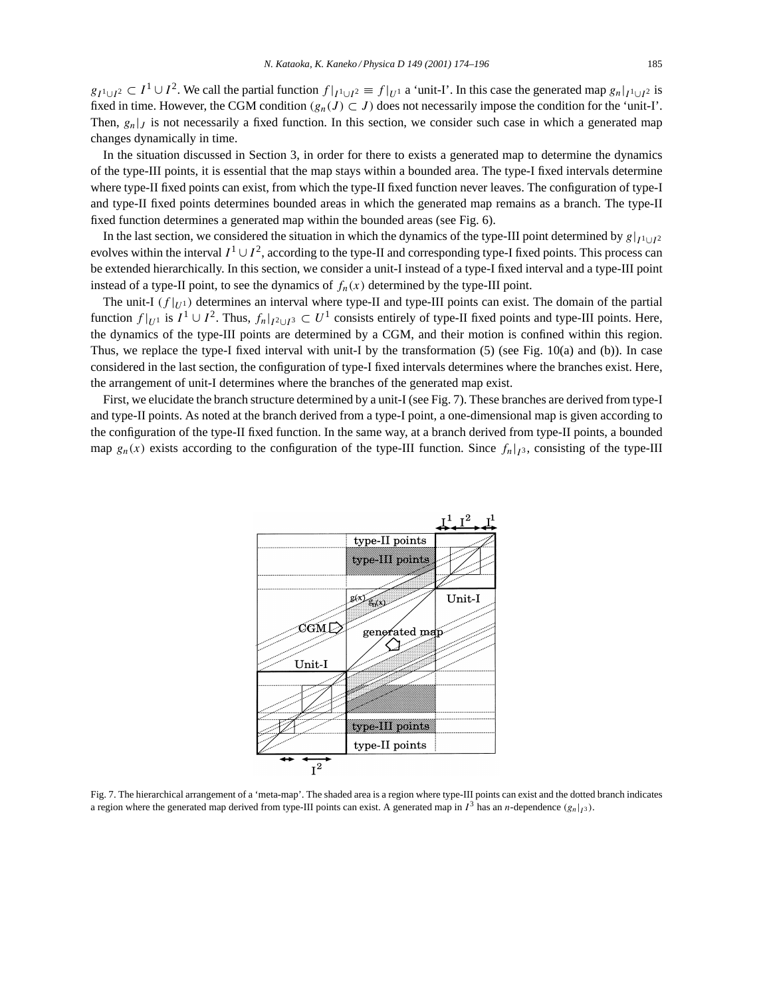$g_{I^1 \cup I^2} \subset I^1 \cup I^2$ . We call the partial function  $f|_{I^1 \cup I^2} \equiv f|_{U^1}$  a 'unit-I'. In this case the generated map  $g_n|_{I^1 \cup I^2}$  is fixed in time. However, the CGM condition  $(g_n(J) \subset J)$  does not necessarily impose the condition for the 'unit-I'. Then,  $g_n|_J$  is not necessarily a fixed function. In this section, we consider such case in which a generated map changes dynamically in time.

In the situation discussed in Section 3, in order for there to exists a generated map to determine the dynamics of the type-III points, it is essential that the map stays within a bounded area. The type-I fixed intervals determine where type-II fixed points can exist, from which the type-II fixed function never leaves. The configuration of type-I and type-II fixed points determines bounded areas in which the generated map remains as a branch. The type-II fixed function determines a generated map within the bounded areas (see Fig. 6).

In the last section, we considered the situation in which the dynamics of the type-III point determined by  $g|_{I^1 \cup I^2}$ evolves within the interval  $I^1 \cup I^2$ , according to the type-II and corresponding type-I fixed points. This process can be extended hierarchically. In this section, we consider a unit-I instead of a type-I fixed interval and a type-III point instead of a type-II point, to see the dynamics of  $f_n(x)$  determined by the type-III point.

The unit-I  $(f|_{U^1})$  determines an interval where type-II and type-III points can exist. The domain of the partial function  $f|_{U^1}$  is  $I^1 \cup I^2$ . Thus,  $f_n|_{I^2 \cup I^3} \subset U^1$  consists entirely of type-II fixed points and type-III points. Here, the dynamics of the type-III points are determined by a CGM, and their motion is confined within this region. Thus, we replace the type-I fixed interval with unit-I by the transformation  $(5)$  (see Fig. 10(a) and (b)). In case considered in the last section, the configuration of type-I fixed intervals determines where the branches exist. Here, the arrangement of unit-I determines where the branches of the generated map exist.

First, we elucidate the branch structure determined by a unit-I (see Fig. 7). These branches are derived from type-I and type-II points. As noted at the branch derived from a type-I point, a one-dimensional map is given according to the configuration of the type-II fixed function. In the same way, at a branch derived from type-II points, a bounded map  $g_n(x)$  exists according to the configuration of the type-III function. Since  $f_n|_{I^3}$ , consisting of the type-III



Fig. 7. The hierarchical arrangement of a 'meta-map'. The shaded area is a region where type-III points can exist and the dotted branch indicates a region where the generated map derived from type-III points can exist. A generated map in  $I^3$  has an *n*-dependence  $(g_n|_{I^3})$ .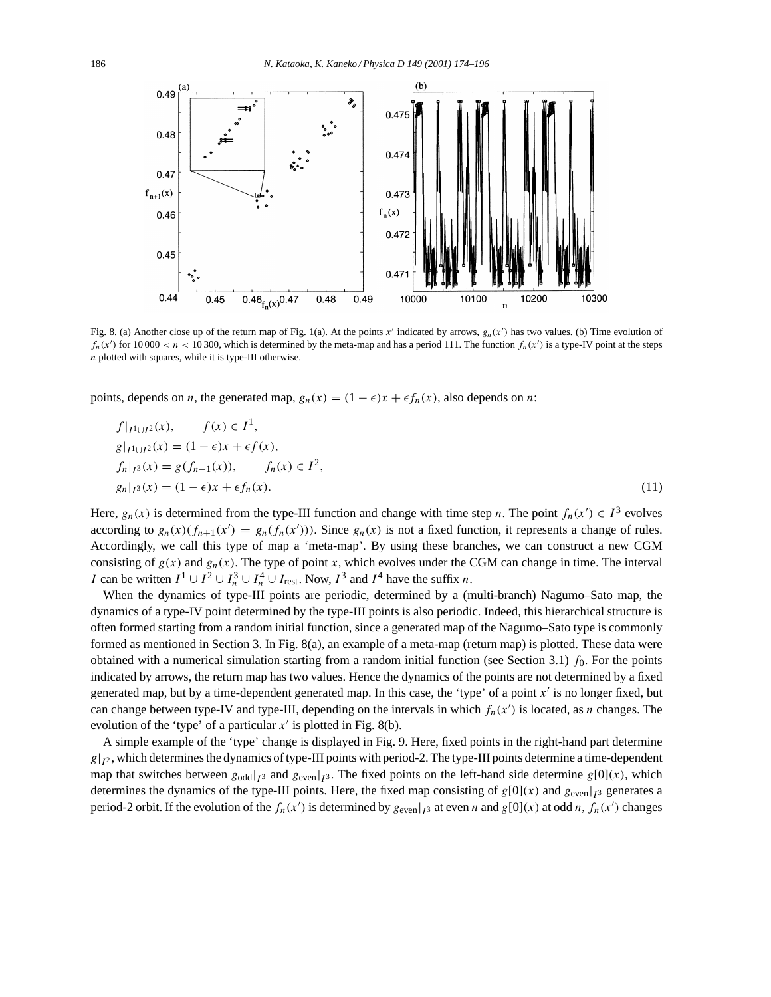

Fig. 8. (a) Another close up of the return map of Fig. 1(a). At the points x' indicated by arrows,  $g_n(x')$  has two values. (b) Time evolution of  $f_n(x')$  for 10 000 <  $n < 10300$ , which is determined by the meta-map and has a period 111. The function  $f_n(x')$  is a type-IV point at the steps n plotted with squares, while it is type-III otherwise.

points, depends on *n*, the generated map,  $g_n(x) = (1 - \epsilon)x + \epsilon f_n(x)$ , also depends on *n*:

$$
f|_{I^{1}\cup I^{2}}(x), \t f(x) \in I^{1},
$$
  
\n
$$
g|_{I^{1}\cup I^{2}}(x) = (1 - \epsilon)x + \epsilon f(x),
$$
  
\n
$$
f_{n}|_{I^{3}}(x) = g(f_{n-1}(x)), \t f_{n}(x) \in I^{2},
$$
  
\n
$$
g_{n}|_{I^{3}}(x) = (1 - \epsilon)x + \epsilon f_{n}(x).
$$
\n(11)

Here,  $g_n(x)$  is determined from the type-III function and change with time step n. The point  $f_n(x') \in I^3$  evolves according to  $g_n(x)(f_{n+1}(x')) = g_n(f_n(x'))$ . Since  $g_n(x)$  is not a fixed function, it represents a change of rules. Accordingly, we call this type of map a 'meta-map'. By using these branches, we can construct a new CGM consisting of  $g(x)$  and  $g_n(x)$ . The type of point x, which evolves under the CGM can change in time. The interval *I* can be written  $I^1 \cup I^2 \cup I_n^3 \cup I_n^4 \cup I_{\text{rest}}$ . Now,  $I^3$  and  $I^4$  have the suffix *n*.

When the dynamics of type-III points are periodic, determined by a (multi-branch) Nagumo–Sato map, the dynamics of a type-IV point determined by the type-III points is also periodic. Indeed, this hierarchical structure is often formed starting from a random initial function, since a generated map of the Nagumo–Sato type is commonly formed as mentioned in Section 3. In Fig. 8(a), an example of a meta-map (return map) is plotted. These data were obtained with a numerical simulation starting from a random initial function (see Section 3.1)  $f_0$ . For the points indicated by arrows, the return map has two values. Hence the dynamics of the points are not determined by a fixed generated map, but by a time-dependent generated map. In this case, the 'type' of a point  $x'$  is no longer fixed, but can change between type-IV and type-III, depending on the intervals in which  $f_n(x')$  is located, as n changes. The evolution of the 'type' of a particular  $x'$  is plotted in Fig. 8(b).

A simple example of the 'type' change is displayed in Fig. 9. Here, fixed points in the right-hand part determine  $g|_{I^2}$ , which determines the dynamics of type-III points with period-2. The type-III points determine a time-dependent map that switches between  $g_{\text{odd}}|_{I^3}$  and  $g_{\text{even}}|_{I^3}$ . The fixed points on the left-hand side determine  $g[0](x)$ , which determines the dynamics of the type-III points. Here, the fixed map consisting of  $g[0](x)$  and  $g_{even}|_{I^3}$  generates a period-2 orbit. If the evolution of the  $f_n(x')$  is determined by  $g_{even}|_{I^3}$  at even n and  $g[0](x)$  at odd n,  $f_n(x')$  changes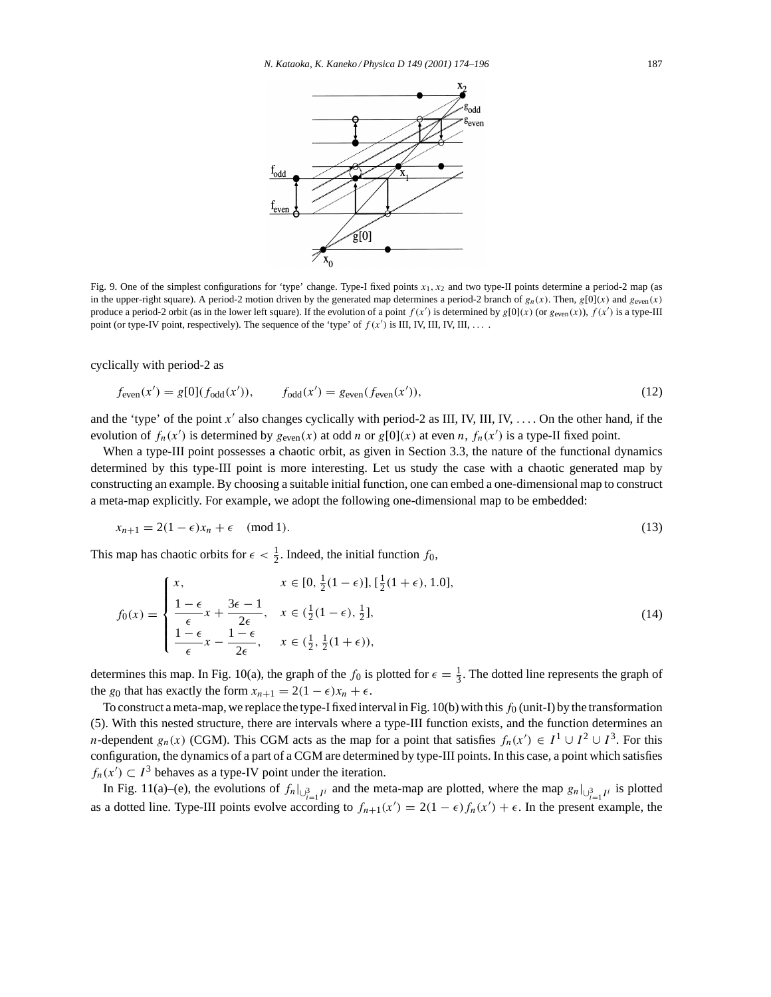

Fig. 9. One of the simplest configurations for 'type' change. Type-I fixed points  $x_1$ ,  $x_2$  and two type-II points determine a period-2 map (as in the upper-right square). A period-2 motion driven by the generated map determines a period-2 branch of  $g_n(x)$ . Then,  $g[0](x)$  and  $g_{even}(x)$ produce a period-2 orbit (as in the lower left square). If the evolution of a point  $f(x')$  is determined by  $g[0](x)$  (or  $g_{even}(x)$ ),  $f(x')$  is a type-III point (or type-IV point, respectively). The sequence of the 'type' of  $f(x')$  is III, IV, III, IV, III, ...

cyclically with period-2 as

$$
f_{even}(x') = g[0](f_{odd}(x')), \t f_{odd}(x') = g_{even}(f_{even}(x')),
$$
\t(12)

and the 'type' of the point x' also changes cyclically with period-2 as III, IV, III, IV, ... . On the other hand, if the evolution of  $f_n(x')$  is determined by  $g_{even}(x)$  at odd n or  $g[0](x)$  at even n,  $f_n(x')$  is a type-II fixed point.

When a type-III point possesses a chaotic orbit, as given in Section 3.3, the nature of the functional dynamics determined by this type-III point is more interesting. Let us study the case with a chaotic generated map by constructing an example. By choosing a suitable initial function, one can embed a one-dimensional map to construct a meta-map explicitly. For example, we adopt the following one-dimensional map to be embedded:

$$
x_{n+1} = 2(1 - \epsilon)x_n + \epsilon \pmod{1}.
$$
\n<sup>(13)</sup>

This map has chaotic orbits for  $\epsilon < \frac{1}{2}$ . Indeed, the initial function  $f_0$ ,

$$
f_0(x) = \begin{cases} x, & x \in [0, \frac{1}{2}(1 - \epsilon)], [\frac{1}{2}(1 + \epsilon), 1.0], \\ \frac{1 - \epsilon}{\epsilon} x + \frac{3\epsilon - 1}{2\epsilon}, & x \in (\frac{1}{2}(1 - \epsilon), \frac{1}{2}], \\ \frac{1 - \epsilon}{\epsilon} x - \frac{1 - \epsilon}{2\epsilon}, & x \in (\frac{1}{2}, \frac{1}{2}(1 + \epsilon)), \end{cases}
$$
(14)

determines this map. In Fig. 10(a), the graph of the  $f_0$  is plotted for  $\epsilon = \frac{1}{3}$ . The dotted line represents the graph of the g<sub>0</sub> that has exactly the form  $x_{n+1} = 2(1 - \epsilon)x_n + \epsilon$ .

To construct a meta-map, we replace the type-I fixed interval in Fig. 10(b) with this  $f_0$  (unit-I) by the transformation (5). With this nested structure, there are intervals where a type-III function exists, and the function determines an *n*-dependent  $g_n(x)$  (CGM). This CGM acts as the map for a point that satisfies  $f_n(x') \in I^1 \cup I^2 \cup I^3$ . For this configuration, the dynamics of a part of a CGM are determined by type-III points. In this case, a point which satisfies  $f_n(x') \subset I^3$  behaves as a type-IV point under the iteration.

In Fig. 11(a)–(e), the evolutions of  $f_n|_{\bigcup_{i=1}^3 I^i}$  and the meta-map are plotted, where the map  $g_n|_{\bigcup_{i=1}^3 I^i}$  is plotted as a dotted line. Type-III points evolve according to  $f_{n+1}(x') = 2(1 - \epsilon) f_n(x') + \epsilon$ . In the present example, the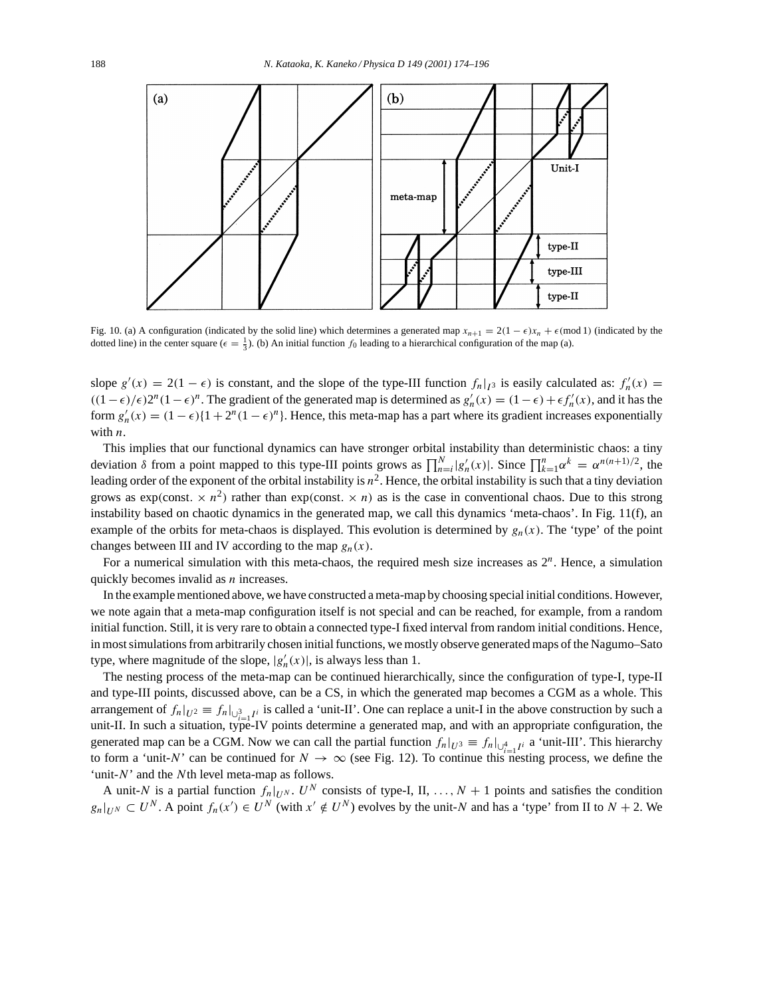

Fig. 10. (a) A configuration (indicated by the solid line) which determines a generated map  $x_{n+1} = 2(1 - \epsilon)x_n + \epsilon \pmod{1}$  (indicated by the dotted line) in the center square ( $\epsilon = \frac{1}{3}$ ). (b) An initial function  $f_0$  leading to a hierarchical configuration of the map (a).

slope  $g'(x) = 2(1 - \epsilon)$  is constant, and the slope of the type-III function  $f_n|_{I^3}$  is easily calculated as:  $f'_n(x) =$  $((1-\epsilon)/\epsilon)2^{n}(1-\epsilon)^{n}$ . The gradient of the generated map is determined as  $g'_n(x) = (1-\epsilon) + \epsilon f'_n(x)$ , and it has the form  $g'_n(x) = (1 - \epsilon)\{1 + 2^n(1 - \epsilon)^n\}$ . Hence, this meta-map has a part where its gradient increases exponentially with  $n$ .

This implies that our functional dynamics can have stronger orbital instability than deterministic chaos: a tiny deviation  $\delta$  from a point mapped to this type-III points grows as  $\prod_{n=1}^{N} |g'_n(x)|$ . Since  $\prod_{k=1}^{n} \alpha^k = \alpha^{n(n+1)/2}$ , the leading order of the exponent of the orbital instability is  $n^2$ . Hence, the orbital instability is such that a tiny deviation grows as exp(const.  $\times n^2$ ) rather than exp(const.  $\times n$ ) as is the case in conventional chaos. Due to this strong instability based on chaotic dynamics in the generated map, we call this dynamics 'meta-chaos'. In Fig. 11(f), an example of the orbits for meta-chaos is displayed. This evolution is determined by  $g_n(x)$ . The 'type' of the point changes between III and IV according to the map  $g_n(x)$ .

For a numerical simulation with this meta-chaos, the required mesh size increases as  $2^n$ . Hence, a simulation quickly becomes invalid as n increases.

In the example mentioned above, we have constructed a meta-map by choosing special initial conditions. However, we note again that a meta-map configuration itself is not special and can be reached, for example, from a random initial function. Still, it is very rare to obtain a connected type-I fixed interval from random initial conditions. Hence, in most simulations from arbitrarily chosen initial functions, we mostly observe generated maps of the Nagumo–Sato type, where magnitude of the slope,  $|g'_n(x)|$ , is always less than 1.

The nesting process of the meta-map can be continued hierarchically, since the configuration of type-I, type-II and type-III points, discussed above, can be a CS, in which the generated map becomes a CGM as a whole. This arrangement of  $f_n|_{U^2} \equiv f_n|_{U^3_{i=1}I^i}$  is called a 'unit-II'. One can replace a unit-I in the above construction by such a unit-II. In such a situation, type-IV points determine a generated map, and with an appropriate configuration, the generated map can be a CGM. Now we can call the partial function  $f_n|_{U^3} \equiv f_n|_{U^4_{i=1}I^i}$  a 'unit-III'. This hierarchy to form a 'unit-N' can be continued for  $N \to \infty$  (see Fig. 12). To continue this nesting process, we define the 'unit- $N$ ' and the  $N$ th level meta-map as follows.

A unit-N is a partial function  $f_n|_{U^N}$ .  $U^N$  consists of type-I, II, ...,  $N + 1$  points and satisfies the condition  $g_n|_{U^N} \subset U^N$ . A point  $f_n(x') \in U^N$  (with  $x' \notin U^N$ ) evolves by the unit-N and has a 'type' from II to  $N + 2$ . We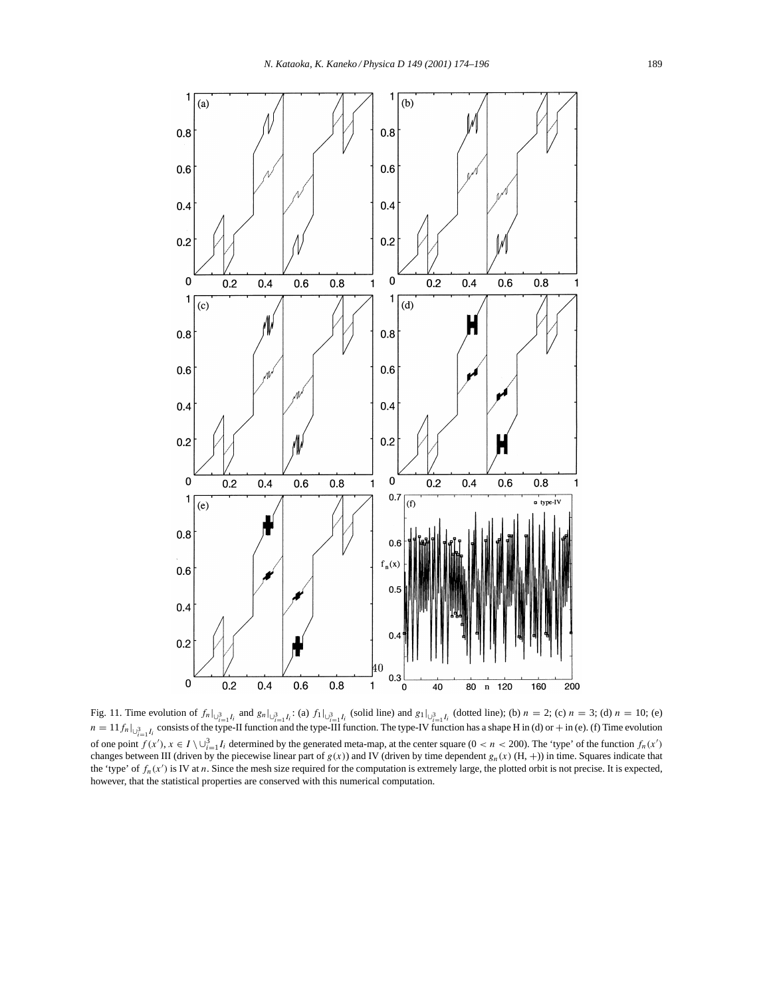

Fig. 11. Time evolution of  $f_n|_{\cup_{i=1}^3 I_i}$  and  $g_n|_{\cup_{i=1}^3 I_i}$ : (a)  $f_1|_{\cup_{i=1}^3 I_i}$  (solid line) and  $g_1|_{\cup_{i=1}^3 I_i}$  (dotted line); (b)  $n = 2$ ; (c)  $n = 3$ ; (d)  $n = 10$ ; (e)  $n = 11 f_n|_{\cup_{i=1}^3 I_i}$  consists o of one point  $f(x')$ ,  $x \in I \setminus \bigcup_{i=1}^{3} I_i$  determined by the generated meta-map, at the center square  $(0 < n < 200)$ . The 'type' of the function  $f_n(x')$ changes between III (driven by the piecewise linear part of  $g(x)$ ) and IV (driven by time dependent  $g_n(x)$  (H, +)) in time. Squares indicate that the 'type' of  $f_n(x')$  is IV at n. Since the mesh size required for the computation is extremely large, the plotted orbit is not precise. It is expected, however, that the statistical properties are conserved with this numerical computation.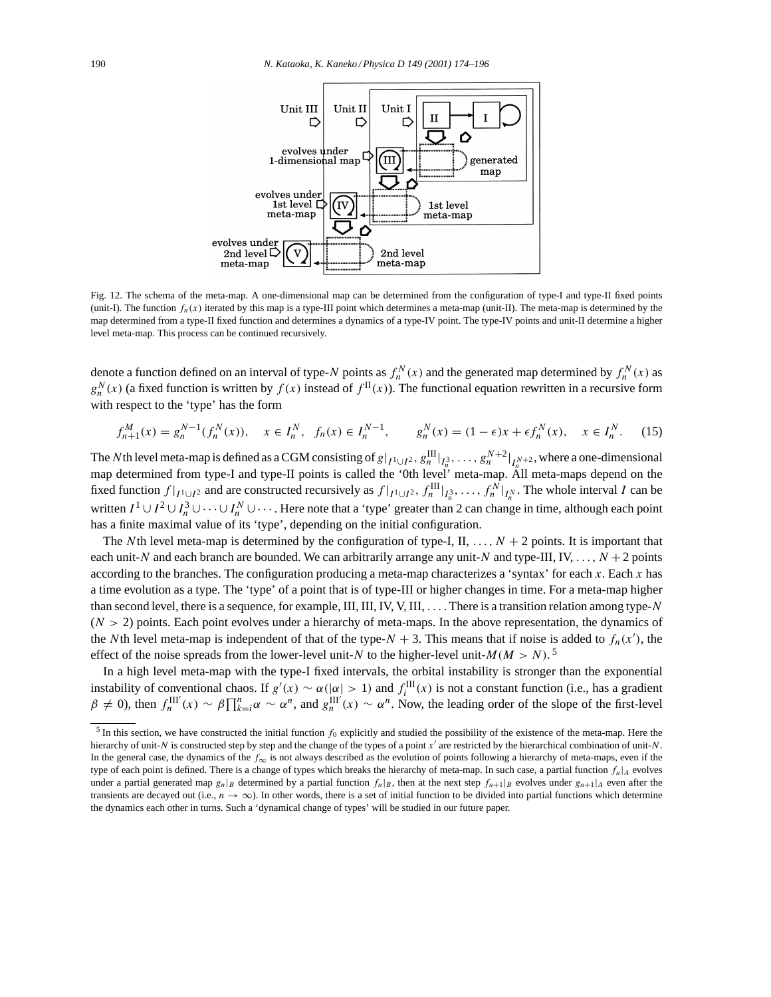

Fig. 12. The schema of the meta-map. A one-dimensional map can be determined from the configuration of type-I and type-II fixed points (unit-I). The function  $f_n(x)$  iterated by this map is a type-III point which determines a meta-map (unit-II). The meta-map is determined by the map determined from a type-II fixed function and determines a dynamics of a type-IV point. The type-IV points and unit-II determine a higher level meta-map. This process can be continued recursively.

denote a function defined on an interval of type-N points as  $f_n^N(x)$  and the generated map determined by  $f_n^N(x)$  as  $g_n^N(x)$  (a fixed function is written by  $f(x)$  instead of  $f^{\text{II}}(x)$ ). The functional equation rewritten in a recursive form with respect to the 'type' has the form

$$
f_{n+1}^M(x) = g_n^{N-1}(f_n^N(x)), \quad x \in I_n^N, \quad f_n(x) \in I_n^{N-1}, \qquad g_n^N(x) = (1 - \epsilon)x + \epsilon f_n^N(x), \quad x \in I_n^N. \tag{15}
$$

The Nth level meta-map is defined as a CGM consisting of  $g|_{I^1\cup I^2}$ ,  $g_n^{\text{III}}|_{I_n^3}$ , ...,  $g_n^{N+2}|_{I_n^{N+2}}$ , where a one-dimensional map determined from type-I and type-II points is called the '0th level' meta-map. All meta-maps depend on the fixed function  $f|_{I^1 \cup I^2}$  and are constructed recursively as  $f|_{I^1 \cup I^2}$ ,  $f_n^{\text{III}}|_{I_n^3}$ , ...,  $f_n^N|_{I_n^N}$ . The whole interval I can be written  $I^1 \cup I^2 \cup I_n^3 \cup \cdots \cup I_n^N \cup \cdots$ . Here note that a 'type' greater than 2 can change in time, although each point has a finite maximal value of its 'type', depending on the initial configuration.

The Nth level meta-map is determined by the configuration of type-I, II, ...,  $N + 2$  points. It is important that each unit-N and each branch are bounded. We can arbitrarily arrange any unit-N and type-III, IV, ...,  $N + 2$  points according to the branches. The configuration producing a meta-map characterizes a 'syntax' for each  $x$ . Each  $x$  has a time evolution as a type. The 'type' of a point that is of type-III or higher changes in time. For a meta-map higher than second level, there is a sequence, for example, III, III, IV, V, III,  $\dots$ . There is a transition relation among type-N  $(N > 2)$  points. Each point evolves under a hierarchy of meta-maps. In the above representation, the dynamics of the Nth level meta-map is independent of that of the type- $N + 3$ . This means that if noise is added to  $f_n(x')$ , the effect of the noise spreads from the lower-level unit-N to the higher-level unit- $M(M > N)$ .<sup>5</sup>

In a high level meta-map with the type-I fixed intervals, the orbital instability is stronger than the exponential instability of conventional chaos. If  $g'(x) \sim \alpha(|\alpha| > 1)$  and  $f_i^{\text{III}}(x)$  is not a constant function (i.e., has a gradient  $\beta \neq 0$ ), then  $f_n^{\text{III}'}(x) \sim \beta \prod_{k=1}^n \alpha \sim \alpha^n$ , and  $g_n^{\text{III}'}(x) \sim \alpha^n$ . Now, the leading order of the slope of the first-level

 $5$  In this section, we have constructed the initial function  $f_0$  explicitly and studied the possibility of the existence of the meta-map. Here the hierarchy of unit-N is constructed step by step and the change of the types of a point  $x'$  are restricted by the hierarchical combination of unit-N. In the general case, the dynamics of the  $f_{\infty}$  is not always described as the evolution of points following a hierarchy of meta-maps, even if the type of each point is defined. There is a change of types which breaks the hierarchy of meta-map. In such case, a partial function  $f_n|_A$  evolves under a partial generated map  $g_n|_B$  determined by a partial function  $f_n|_B$ , then at the next step  $f_{n+1}|_B$  evolves under  $g_{n+1}|_A$  even after the transients are decayed out (i.e.,  $n \to \infty$ ). In other words, there is a set of initial function to be divided into partial functions which determine the dynamics each other in turns. Such a 'dynamical change of types' will be studied in our future paper.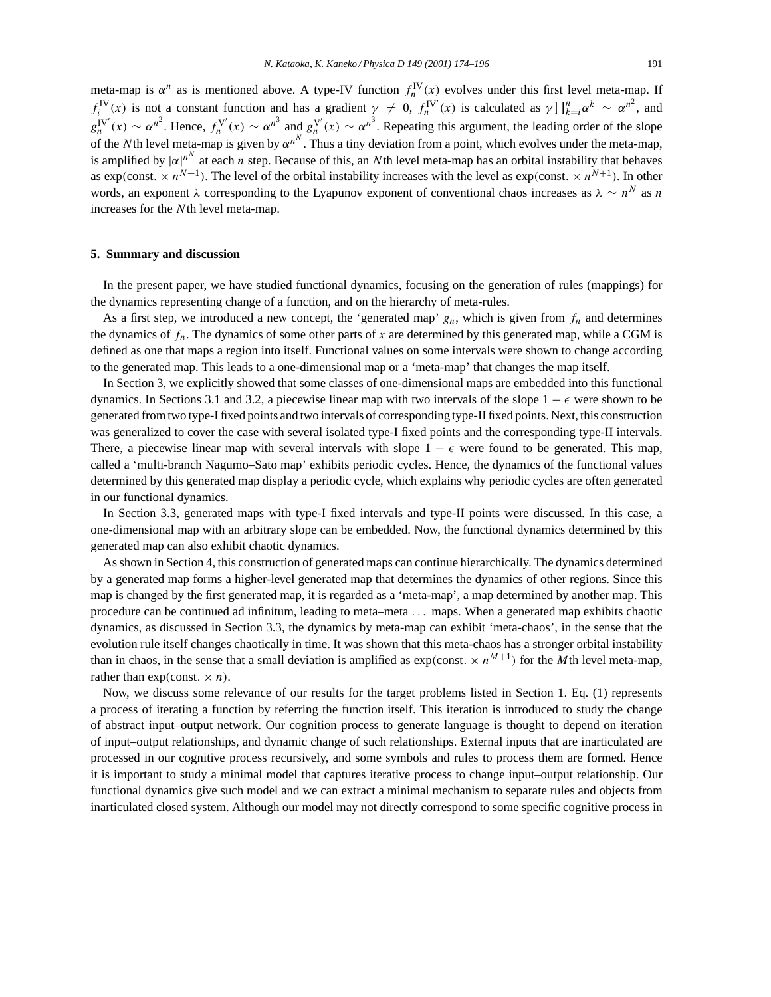meta-map is  $\alpha^n$  as is mentioned above. A type-IV function  $f_n^{\text{IV}}(x)$  evolves under this first level meta-map. If  $f_i^{\text{IV}}(x)$  is not a constant function and has a gradient  $\gamma \neq 0$ ,  $f_i^{\text{IV}}(x)$  is calculated as  $\gamma \prod_{k=i}^{n} \alpha^k \sim \alpha^{n^2}$ , and  $g_n^{\{V\}}(x) \sim \alpha^{n^2}$ . Hence,  $f_n^{\{V\}}(x) \sim \alpha^{n^3}$  and  $g_n^{\{V\}}(x) \sim \alpha^{n^3}$ . Repeating this argument, the leading order of the slope of the Nth level meta-map is given by  $\alpha^{n^N}$ . Thus a tiny deviation from a point, which evolves under the meta-map, is amplified by  $|\alpha|^{n^N}$  at each n step. Because of this, an Nth level meta-map has an orbital instability that behaves as exp(const.  $\times n^{N+1}$ ). The level of the orbital instability increases with the level as exp(const.  $\times n^{N+1}$ ). In other words, an exponent  $\lambda$  corresponding to the Lyapunov exponent of conventional chaos increases as  $\lambda \sim n^N$  as n increases for the Nth level meta-map.

# **5. Summary and discussion**

In the present paper, we have studied functional dynamics, focusing on the generation of rules (mappings) for the dynamics representing change of a function, and on the hierarchy of meta-rules.

As a first step, we introduced a new concept, the 'generated map'  $g_n$ , which is given from  $f_n$  and determines the dynamics of  $f_n$ . The dynamics of some other parts of x are determined by this generated map, while a CGM is defined as one that maps a region into itself. Functional values on some intervals were shown to change according to the generated map. This leads to a one-dimensional map or a 'meta-map' that changes the map itself.

In Section 3, we explicitly showed that some classes of one-dimensional maps are embedded into this functional dynamics. In Sections 3.1 and 3.2, a piecewise linear map with two intervals of the slope  $1 - \epsilon$  were shown to be generated from two type-I fixed points and two intervals of corresponding type-II fixed points. Next, this construction was generalized to cover the case with several isolated type-I fixed points and the corresponding type-II intervals. There, a piecewise linear map with several intervals with slope  $1 - \epsilon$  were found to be generated. This map, called a 'multi-branch Nagumo–Sato map' exhibits periodic cycles. Hence, the dynamics of the functional values determined by this generated map display a periodic cycle, which explains why periodic cycles are often generated in our functional dynamics.

In Section 3.3, generated maps with type-I fixed intervals and type-II points were discussed. In this case, a one-dimensional map with an arbitrary slope can be embedded. Now, the functional dynamics determined by this generated map can also exhibit chaotic dynamics.

As shown in Section 4, this construction of generated maps can continue hierarchically. The dynamics determined by a generated map forms a higher-level generated map that determines the dynamics of other regions. Since this map is changed by the first generated map, it is regarded as a 'meta-map', a map determined by another map. This procedure can be continued ad infinitum, leading to meta–meta ... maps. When a generated map exhibits chaotic dynamics, as discussed in Section 3.3, the dynamics by meta-map can exhibit 'meta-chaos', in the sense that the evolution rule itself changes chaotically in time. It was shown that this meta-chaos has a stronger orbital instability than in chaos, in the sense that a small deviation is amplified as exp(const.  $\times n^{M+1}$ ) for the Mth level meta-map, rather than  $exp(const. \times n)$ .

Now, we discuss some relevance of our results for the target problems listed in Section 1. Eq. (1) represents a process of iterating a function by referring the function itself. This iteration is introduced to study the change of abstract input–output network. Our cognition process to generate language is thought to depend on iteration of input–output relationships, and dynamic change of such relationships. External inputs that are inarticulated are processed in our cognitive process recursively, and some symbols and rules to process them are formed. Hence it is important to study a minimal model that captures iterative process to change input–output relationship. Our functional dynamics give such model and we can extract a minimal mechanism to separate rules and objects from inarticulated closed system. Although our model may not directly correspond to some specific cognitive process in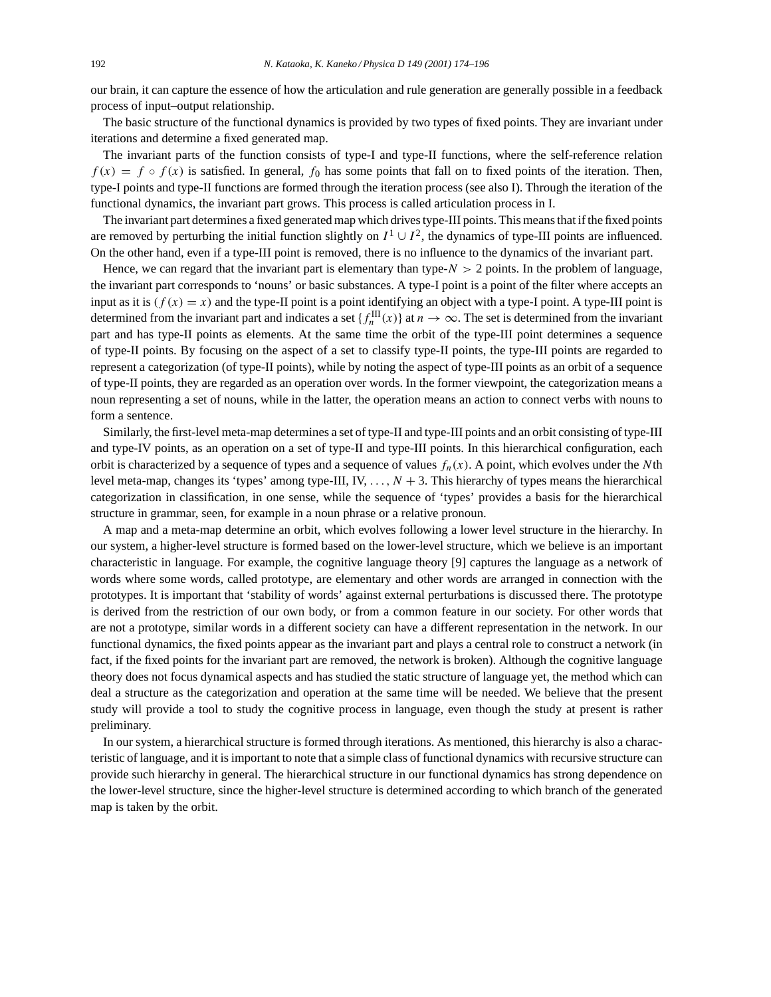our brain, it can capture the essence of how the articulation and rule generation are generally possible in a feedback process of input–output relationship.

The basic structure of the functional dynamics is provided by two types of fixed points. They are invariant under iterations and determine a fixed generated map.

The invariant parts of the function consists of type-I and type-II functions, where the self-reference relation  $f(x) = f \circ f(x)$  is satisfied. In general,  $f_0$  has some points that fall on to fixed points of the iteration. Then, type-I points and type-II functions are formed through the iteration process (see also I). Through the iteration of the functional dynamics, the invariant part grows. This process is called articulation process in I.

The invariant part determines a fixed generated map which drives type-III points. This means that if the fixed points are removed by perturbing the initial function slightly on  $I^1 \cup I^2$ , the dynamics of type-III points are influenced. On the other hand, even if a type-III point is removed, there is no influence to the dynamics of the invariant part.

Hence, we can regard that the invariant part is elementary than type- $N > 2$  points. In the problem of language, the invariant part corresponds to 'nouns' or basic substances. A type-I point is a point of the filter where accepts an input as it is  $(f(x) = x)$  and the type-II point is a point identifying an object with a type-I point. A type-III point is determined from the invariant part and indicates a set  ${f_n^{\text{III}}(x)}$  at  $n \to \infty$ . The set is determined from the invariant part and has type-II points as elements. At the same time the orbit of the type-III point determines a sequence of type-II points. By focusing on the aspect of a set to classify type-II points, the type-III points are regarded to represent a categorization (of type-II points), while by noting the aspect of type-III points as an orbit of a sequence of type-II points, they are regarded as an operation over words. In the former viewpoint, the categorization means a noun representing a set of nouns, while in the latter, the operation means an action to connect verbs with nouns to form a sentence.

Similarly, the first-level meta-map determines a set of type-II and type-III points and an orbit consisting of type-III and type-IV points, as an operation on a set of type-II and type-III points. In this hierarchical configuration, each orbit is characterized by a sequence of types and a sequence of values  $f_n(x)$ . A point, which evolves under the Nth level meta-map, changes its 'types' among type-III, IV, ...,  $N + 3$ . This hierarchy of types means the hierarchical categorization in classification, in one sense, while the sequence of 'types' provides a basis for the hierarchical structure in grammar, seen, for example in a noun phrase or a relative pronoun.

A map and a meta-map determine an orbit, which evolves following a lower level structure in the hierarchy. In our system, a higher-level structure is formed based on the lower-level structure, which we believe is an important characteristic in language. For example, the cognitive language theory [9] captures the language as a network of words where some words, called prototype, are elementary and other words are arranged in connection with the prototypes. It is important that 'stability of words' against external perturbations is discussed there. The prototype is derived from the restriction of our own body, or from a common feature in our society. For other words that are not a prototype, similar words in a different society can have a different representation in the network. In our functional dynamics, the fixed points appear as the invariant part and plays a central role to construct a network (in fact, if the fixed points for the invariant part are removed, the network is broken). Although the cognitive language theory does not focus dynamical aspects and has studied the static structure of language yet, the method which can deal a structure as the categorization and operation at the same time will be needed. We believe that the present study will provide a tool to study the cognitive process in language, even though the study at present is rather preliminary.

In our system, a hierarchical structure is formed through iterations. As mentioned, this hierarchy is also a characteristic of language, and it is important to note that a simple class of functional dynamics with recursive structure can provide such hierarchy in general. The hierarchical structure in our functional dynamics has strong dependence on the lower-level structure, since the higher-level structure is determined according to which branch of the generated map is taken by the orbit.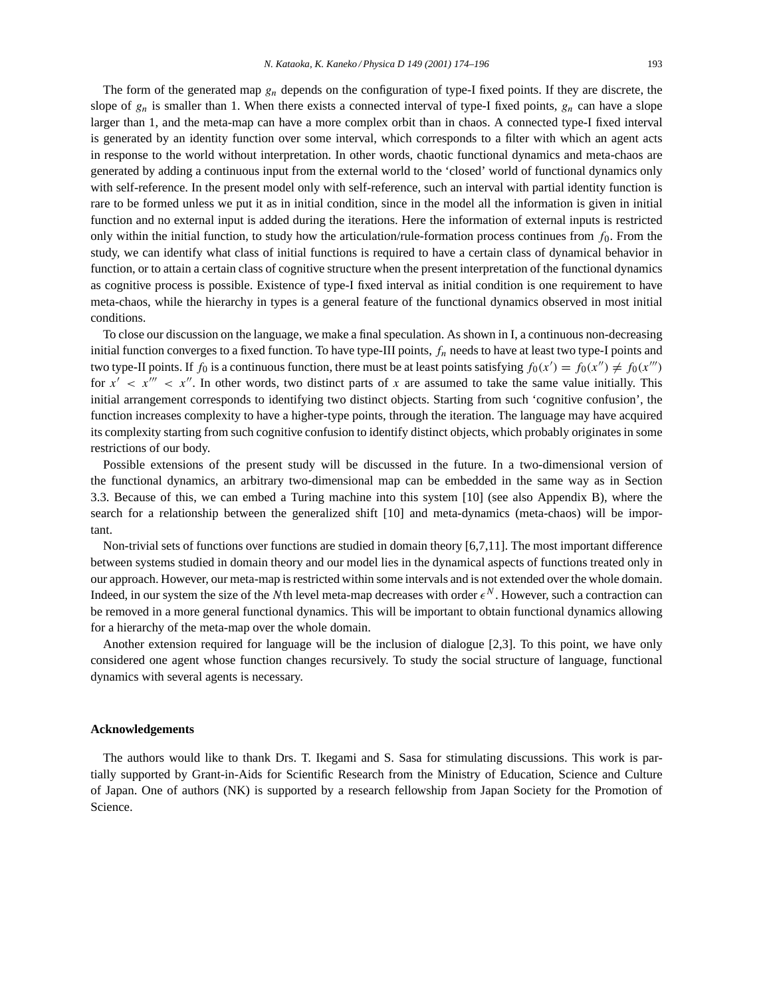The form of the generated map  $g_n$  depends on the configuration of type-I fixed points. If they are discrete, the slope of  $g_n$  is smaller than 1. When there exists a connected interval of type-I fixed points,  $g_n$  can have a slope larger than 1, and the meta-map can have a more complex orbit than in chaos. A connected type-I fixed interval is generated by an identity function over some interval, which corresponds to a filter with which an agent acts in response to the world without interpretation. In other words, chaotic functional dynamics and meta-chaos are generated by adding a continuous input from the external world to the 'closed' world of functional dynamics only with self-reference. In the present model only with self-reference, such an interval with partial identity function is rare to be formed unless we put it as in initial condition, since in the model all the information is given in initial function and no external input is added during the iterations. Here the information of external inputs is restricted only within the initial function, to study how the articulation/rule-formation process continues from  $f_0$ . From the study, we can identify what class of initial functions is required to have a certain class of dynamical behavior in function, or to attain a certain class of cognitive structure when the present interpretation of the functional dynamics as cognitive process is possible. Existence of type-I fixed interval as initial condition is one requirement to have meta-chaos, while the hierarchy in types is a general feature of the functional dynamics observed in most initial conditions.

To close our discussion on the language, we make a final speculation. As shown in I, a continuous non-decreasing initial function converges to a fixed function. To have type-III points,  $f_n$  needs to have at least two type-I points and two type-II points. If  $f_0$  is a continuous function, there must be at least points satisfying  $f_0(x') = f_0(x'') \neq f_0(x'')$ for  $x' \le x''' \le x''$ . In other words, two distinct parts of x are assumed to take the same value initially. This initial arrangement corresponds to identifying two distinct objects. Starting from such 'cognitive confusion', the function increases complexity to have a higher-type points, through the iteration. The language may have acquired its complexity starting from such cognitive confusion to identify distinct objects, which probably originates in some restrictions of our body.

Possible extensions of the present study will be discussed in the future. In a two-dimensional version of the functional dynamics, an arbitrary two-dimensional map can be embedded in the same way as in Section 3.3. Because of this, we can embed a Turing machine into this system [10] (see also Appendix B), where the search for a relationship between the generalized shift [10] and meta-dynamics (meta-chaos) will be important.

Non-trivial sets of functions over functions are studied in domain theory [6,7,11]. The most important difference between systems studied in domain theory and our model lies in the dynamical aspects of functions treated only in our approach. However, our meta-map is restricted within some intervals and is not extended over the whole domain. Indeed, in our system the size of the Nth level meta-map decreases with order  $\epsilon^N$ . However, such a contraction can be removed in a more general functional dynamics. This will be important to obtain functional dynamics allowing for a hierarchy of the meta-map over the whole domain.

Another extension required for language will be the inclusion of dialogue [2,3]. To this point, we have only considered one agent whose function changes recursively. To study the social structure of language, functional dynamics with several agents is necessary.

#### **Acknowledgements**

The authors would like to thank Drs. T. Ikegami and S. Sasa for stimulating discussions. This work is partially supported by Grant-in-Aids for Scientific Research from the Ministry of Education, Science and Culture of Japan. One of authors (NK) is supported by a research fellowship from Japan Society for the Promotion of Science.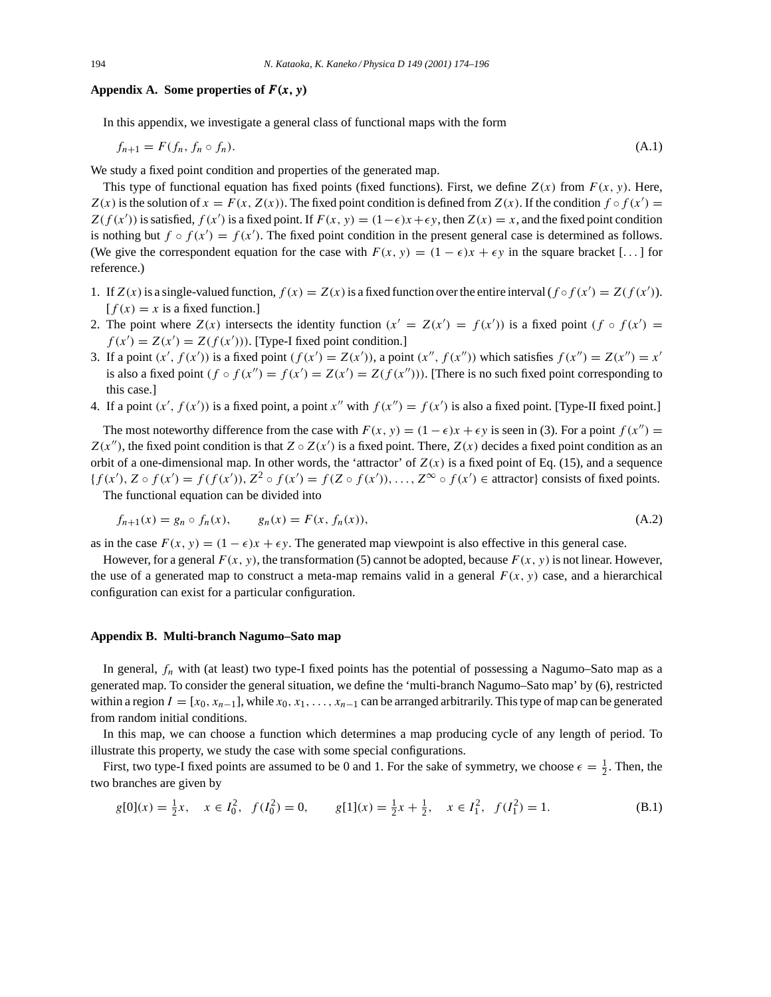# Appendix A. Some properties of  $F(x, y)$

In this appendix, we investigate a general class of functional maps with the form

$$
f_{n+1} = F(f_n, f_n \circ f_n). \tag{A.1}
$$

We study a fixed point condition and properties of the generated map.

This type of functional equation has fixed points (fixed functions). First, we define  $Z(x)$  from  $F(x, y)$ . Here,  $Z(x)$  is the solution of  $x = F(x, Z(x))$ . The fixed point condition is defined from  $Z(x)$ . If the condition  $f \circ f(x') =$  $Z(f(x'))$  is satisfied,  $f(x')$  is a fixed point. If  $F(x, y) = (1 - \epsilon)x + \epsilon y$ , then  $Z(x) = x$ , and the fixed point condition is nothing but  $f \circ f(x') = f(x')$ . The fixed point condition in the present general case is determined as follows. (We give the correspondent equation for the case with  $F(x, y) = (1 - \epsilon)x + \epsilon y$  in the square bracket [...] for reference.)

- 1. If  $Z(x)$  is a single-valued function,  $f(x) = Z(x)$  is a fixed function over the entire interval  $(f \circ f(x')) = Z(f(x'))$ .  $[f(x) = x]$  is a fixed function.]
- 2. The point where  $Z(x)$  intersects the identity function  $(x' = Z(x') = f(x'))$  is a fixed point  $(f \circ f(x'))$  $f(x') = Z(x') = Z(f(x'))$ . [Type-I fixed point condition.]
- 3. If a point  $(x', f(x'))$  is a fixed point  $(f(x') = Z(x'))$ , a point  $(x'', f(x''))$  which satisfies  $f(x'') = Z(x'') = x'$ is also a fixed point  $(f \circ f(x'') = f(x') = Z(x') = Z(f(x''))$ . [There is no such fixed point corresponding to this case.]
- 4. If a point  $(x', f(x'))$  is a fixed point, a point x'' with  $f(x'') = f(x')$  is also a fixed point. [Type-II fixed point.]

The most noteworthy difference from the case with  $F(x, y) = (1 - \epsilon)x + \epsilon y$  is seen in (3). For a point  $f(x'') =$  $Z(x'')$ , the fixed point condition is that  $Z \circ Z(x')$  is a fixed point. There,  $Z(x)$  decides a fixed point condition as an orbit of a one-dimensional map. In other words, the 'attractor' of  $Z(x)$  is a fixed point of Eq. (15), and a sequence  ${f(x', z \circ f(x')) = f(f(x'))}$ ,  $Z^2 \circ f(x') = f(Z \circ f(x'))$ , ...,  $Z^{\infty} \circ f(x') \in$  attractor} consists of fixed points. The functional equation can be divided into

$$
f_{n+1}(x) = g_n \circ f_n(x), \qquad g_n(x) = F(x, f_n(x)), \tag{A.2}
$$

as in the case  $F(x, y) = (1 - \epsilon)x + \epsilon y$ . The generated map viewpoint is also effective in this general case.

However, for a general  $F(x, y)$ , the transformation (5) cannot be adopted, because  $F(x, y)$  is not linear. However, the use of a generated map to construct a meta-map remains valid in a general  $F(x, y)$  case, and a hierarchical configuration can exist for a particular configuration.

## **Appendix B. Multi-branch Nagumo–Sato map**

In general,  $f_n$  with (at least) two type-I fixed points has the potential of possessing a Nagumo–Sato map as a generated map. To consider the general situation, we define the 'multi-branch Nagumo–Sato map' by (6), restricted within a region  $I = [x_0, x_{n-1}]$ , while  $x_0, x_1, \ldots, x_{n-1}$  can be arranged arbitrarily. This type of map can be generated from random initial conditions.

In this map, we can choose a function which determines a map producing cycle of any length of period. To illustrate this property, we study the case with some special configurations.

First, two type-I fixed points are assumed to be 0 and 1. For the sake of symmetry, we choose  $\epsilon = \frac{1}{2}$ . Then, the two branches are given by

$$
g[0](x) = \frac{1}{2}x, \quad x \in I_0^2, \quad f(I_0^2) = 0, \qquad g[1](x) = \frac{1}{2}x + \frac{1}{2}, \quad x \in I_1^2, \quad f(I_1^2) = 1.
$$
 (B.1)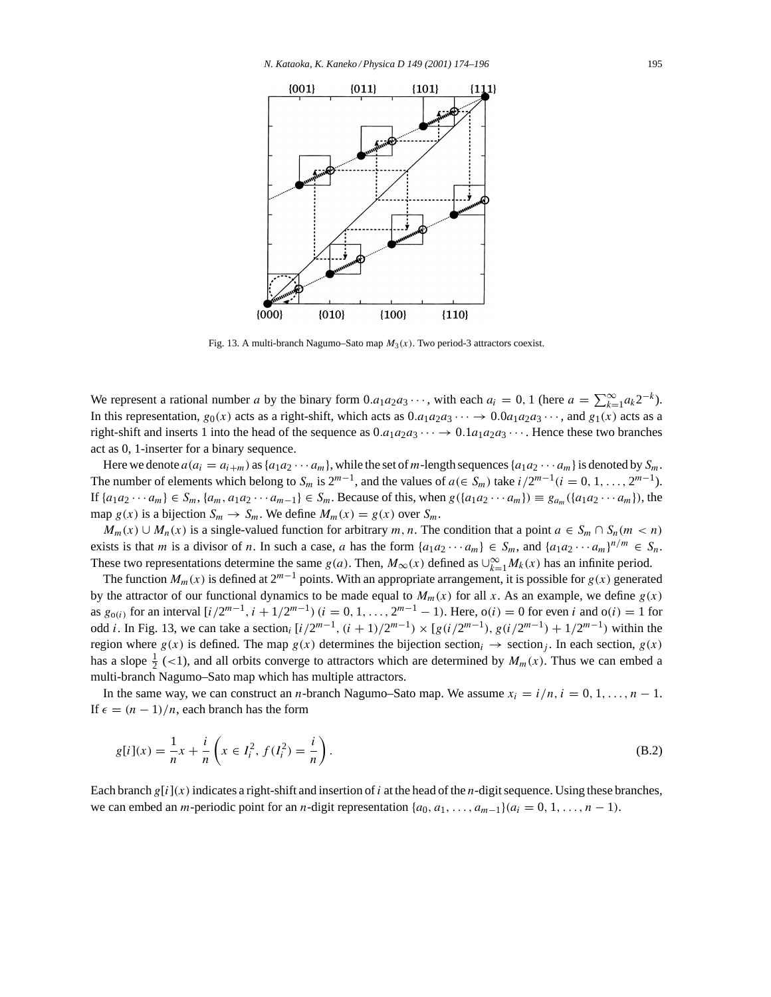

Fig. 13. A multi-branch Nagumo–Sato map  $M_3(x)$ . Two period-3 attractors coexist.

We represent a rational number a by the binary form  $0.a_1a_2a_3\cdots$ , with each  $a_i = 0, 1$  (here  $a = \sum_{k=1}^{\infty} a_k 2^{-k}$ ). In this representation,  $g_0(x)$  acts as a right-shift, which acts as  $0.a_1a_2a_3\cdots \rightarrow 0.a_1a_2a_3\cdots$ , and  $g_1(x)$  acts as a right-shift and inserts 1 into the head of the sequence as  $0.a_{1}a_{2}a_{3} \cdots \rightarrow 0.1a_{1}a_{2}a_{3} \cdots$ . Hence these two branches act as 0, 1-inserter for a binary sequence.

Here we denote  $a(a_i = a_{i+m})$  as  $\{a_1a_2 \cdots a_m\}$ , while the set of m-length sequences  $\{a_1a_2 \cdots a_m\}$  is denoted by  $S_m$ . The number of elements which belong to  $S_m$  is  $2^{m-1}$ , and the values of  $a \in S_m$ ) take  $i/2^{m-1}(i = 0, 1, ..., 2^{m-1})$ . If  $\{a_1a_2\cdots a_m\} \in S_m$ ,  $\{a_m, a_1a_2\cdots a_{m-1}\} \in S_m$ . Because of this, when  $g(\{a_1a_2\cdots a_m\}) \equiv g_{a_m}(\{a_1a_2\cdots a_m\})$ , the map  $g(x)$  is a bijection  $S_m \to S_m$ . We define  $M_m(x) = g(x)$  over  $S_m$ .

 $M_m(x) \cup M_n(x)$  is a single-valued function for arbitrary m, n. The condition that a point  $a \in S_m \cap S_n(m < n)$ exists is that m is a divisor of n. In such a case, a has the form  $\{a_1a_2\cdots a_m\} \in S_m$ , and  $\{a_1a_2\cdots a_m\}^{n/m} \in S_n$ . These two representations determine the same  $g(a)$ . Then,  $M_{\infty}(x)$  defined as  $\bigcup_{k=1}^{\infty} M_k(x)$  has an infinite period.

The function  $M_m(x)$  is defined at  $2^{m-1}$  points. With an appropriate arrangement, it is possible for  $g(x)$  generated by the attractor of our functional dynamics to be made equal to  $M_m(x)$  for all x. As an example, we define  $g(x)$ as  $g_{0(i)}$  for an interval  $[i/2^{m-1}, i + 1/2^{m-1})$   $(i = 0, 1, ..., 2^{m-1} - 1)$ . Here,  $o(i) = 0$  for even i and  $o(i) = 1$  for odd *i*. In Fig. 13, we can take a section<sub>i</sub>  $[i/2^{m-1}, (i + 1)/2^{m-1}) \times [g(i/2^{m-1}), g(i/2^{m-1}) + 1/2^{m-1})$  within the region where  $g(x)$  is defined. The map  $g(x)$  determines the bijection section<sub>i</sub>  $\rightarrow$  section<sub>i</sub>. In each section,  $g(x)$ has a slope  $\frac{1}{2}$  (<1), and all orbits converge to attractors which are determined by  $M_m(x)$ . Thus we can embed a multi-branch Nagumo–Sato map which has multiple attractors.

In the same way, we can construct an n-branch Nagumo–Sato map. We assume  $x_i = i/n$ ,  $i = 0, 1, \ldots, n - 1$ . If  $\epsilon = (n-1)/n$ , each branch has the form

$$
g[i](x) = \frac{1}{n}x + \frac{i}{n}\left(x \in I_i^2, f(I_i^2) = \frac{i}{n}\right).
$$
\n(B.2)

Each branch g[i](x) indicates a right-shift and insertion of i at the head of the n-digit sequence. Using these branches, we can embed an *m*-periodic point for an *n*-digit representation  $\{a_0, a_1, \ldots, a_{m-1}\}(a_i = 0, 1, \ldots, n-1)$ .